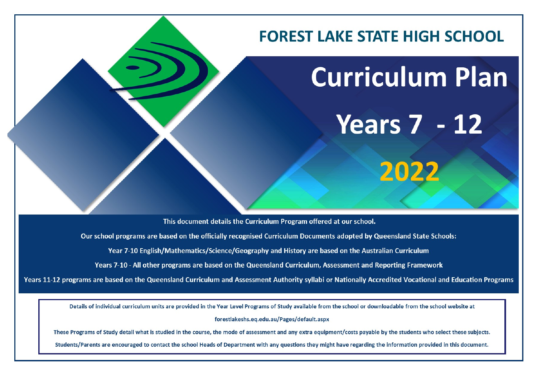

This document details the Curriculum Program offered at our school.

Our school programs are based on the officially recognised Curriculum Documents adopted by Queensland State Schools:

Year 7-10 English/Mathematics/Science/Geography and History are based on the Australian Curriculum

Years 7-10 - All other programs are based on the Queensland Curriculum, Assessment and Reporting Framework

Years 11-12 programs are based on the Queensland Curriculum and Assessment Authority syllabi or Nationally Accredited Vocational and Education Programs

Details of individual curriculum units are provided in the Year Level Programs of Study available from the school or downloadable from the school website at

forestlakeshs.eq.edu.au/Pages/default.aspx

These Programs of Study detail what is studied in the course, the mode of assessment and any extra equipment/costs payable by the students who select these subjects.

Students/Parents are encouraged to contact the school Heads of Department with any questions they might have regarding the information provided in this document.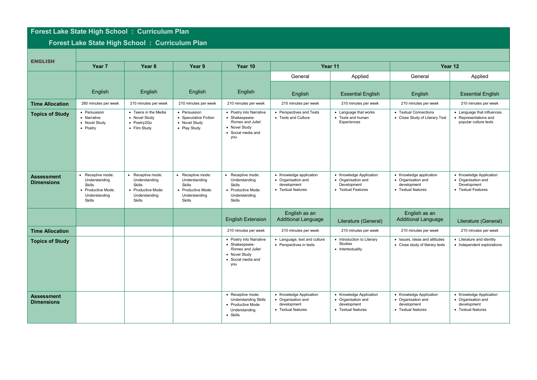## **Forest Lake State High School : Curriculum Plan**

## **Forest Lake State High School : Curriculum Plan**

| <b>ENGLISH</b>                         | Year <sub>7</sub>                                                                                           | Year <sub>8</sub>                                                                                  | Year <sub>9</sub>                                                                             | Year 10                                                                                                     | Year 11                                                                            |                                                                                    | Year 12                                                                            |                                                                                    |
|----------------------------------------|-------------------------------------------------------------------------------------------------------------|----------------------------------------------------------------------------------------------------|-----------------------------------------------------------------------------------------------|-------------------------------------------------------------------------------------------------------------|------------------------------------------------------------------------------------|------------------------------------------------------------------------------------|------------------------------------------------------------------------------------|------------------------------------------------------------------------------------|
|                                        |                                                                                                             |                                                                                                    |                                                                                               |                                                                                                             | General                                                                            | Applied                                                                            | General                                                                            | Applied                                                                            |
|                                        | English                                                                                                     | English                                                                                            | English                                                                                       | English                                                                                                     | English                                                                            | <b>Essential English</b>                                                           |                                                                                    | <b>Essential English</b>                                                           |
|                                        |                                                                                                             |                                                                                                    |                                                                                               |                                                                                                             |                                                                                    |                                                                                    | English                                                                            |                                                                                    |
| <b>Time Allocation</b>                 | 280 minutes per week                                                                                        | 210 minutes per week                                                                               | 210 minutes per week                                                                          | 210 minutes per week                                                                                        | 210 minutes per week                                                               | 210 minutes per week                                                               | 210 minutes per week                                                               | 210 minutes per week                                                               |
| <b>Topics of Study</b>                 | • Persuasion<br>• Narrative<br>• Novel Study<br>• Poetry                                                    | • Teens in the Media<br>• Novel Study<br>• Poetry2Go<br>• Film Study                               | • Persuasion<br>• Speculative Fiction<br>• Novel Study<br>• Play Study                        | • Poetry into Narrative<br>• Shakespeare-<br>Romeo and Juliet<br>• Novel Study<br>• Social media and<br>you | • Perspectives and Texts<br>• Texts and Culture                                    | • Language that works<br>• Texts and human<br>Experiences                          | • Textual Connections<br>• Close Study of Literary Text                            | • Language that influences<br>Representations and<br>popular culture texts         |
| <b>Assessment</b><br><b>Dimensions</b> | • Receptive mode:<br>Understanding<br><b>Skills</b><br>• Productive Mode:<br>Understanding<br><b>Skills</b> | Receptive mode:<br>Understanding<br><b>Skills</b><br>• Productive Mode:<br>Understanding<br>Skills | • Receptive mode:<br>Understanding<br>Skills<br>• Productive Mode:<br>Understanding<br>Skills | Receptive mode:<br>Understanding<br><b>Skills</b><br>• Productive Mode:<br>Understanding<br>Skills          | • Knowledge application<br>• Organisation and<br>development<br>• Textual features | • Knowledge Application<br>• Organisation and<br>Development<br>• Textual Features | • Knowledge application<br>• Organisation and<br>development<br>• Textual features | • Knowledge Application<br>• Organisation and<br>Development<br>• Textual Features |
|                                        |                                                                                                             |                                                                                                    |                                                                                               | <b>English Extension</b>                                                                                    | English as an<br><b>Additional Language</b>                                        | Literature (General)                                                               | English as an<br><b>Additional Language</b>                                        | Literature (General)                                                               |
| <b>Time Allocation</b>                 |                                                                                                             |                                                                                                    |                                                                                               | 210 minutes per week                                                                                        | 210 minutes per week                                                               | 210 minutes per week                                                               | 210 minutes per week                                                               | 210 minutes per week                                                               |
| <b>Topics of Study</b>                 |                                                                                                             |                                                                                                    |                                                                                               | • Poetry into Narrative<br>• Shakespeare-<br>Romeo and Juliet<br>• Novel Study<br>• Social media and<br>you | • Language, text and culture<br>• Perspectives in texts                            | • Introduction to Literary<br>Studies<br>• Intertextuality                         | • Issues, ideas and attitudes<br>• Close study of literary texts                   | • Literature and identity<br>• Independent explorations                            |
| <b>Assessment</b><br><b>Dimensions</b> |                                                                                                             |                                                                                                    |                                                                                               | • Receptive mode:<br><b>Understanding Skills</b><br>• Productive Mode:<br>Understanding<br>• Skills         | • Knowledge Application<br>• Organisation and<br>development<br>• Textual features | • Knowledge Application<br>• Organisation and<br>development<br>• Textual features | • Knowledge Application<br>• Organisation and<br>development<br>• Textual features | • Knowledge Application<br>• Organisation and<br>development<br>• Textual features |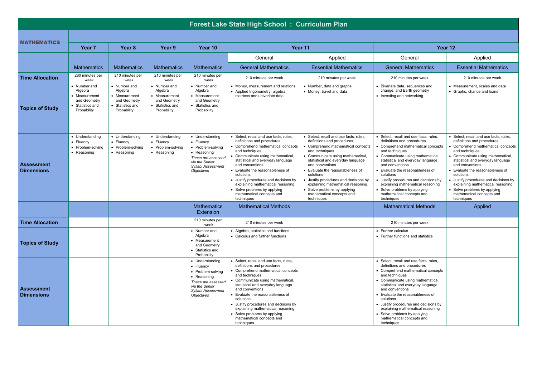|                                        | Forest Lake State High School: Curriculum Plan                                          |                                                                                           |                                                                                           |                                                                                                                                              |                                                                                                                                                                                                                                                                                                                                                                                                                                 |                                                                                                                                                                                                                                                                                                                                                                                                                                     |                                                                                                                                                                                                                                                                                                                                                                                                                                     |                                                                                                                                                                                                                                                                                                                                                                                                                                     |  |  |  |  |
|----------------------------------------|-----------------------------------------------------------------------------------------|-------------------------------------------------------------------------------------------|-------------------------------------------------------------------------------------------|----------------------------------------------------------------------------------------------------------------------------------------------|---------------------------------------------------------------------------------------------------------------------------------------------------------------------------------------------------------------------------------------------------------------------------------------------------------------------------------------------------------------------------------------------------------------------------------|-------------------------------------------------------------------------------------------------------------------------------------------------------------------------------------------------------------------------------------------------------------------------------------------------------------------------------------------------------------------------------------------------------------------------------------|-------------------------------------------------------------------------------------------------------------------------------------------------------------------------------------------------------------------------------------------------------------------------------------------------------------------------------------------------------------------------------------------------------------------------------------|-------------------------------------------------------------------------------------------------------------------------------------------------------------------------------------------------------------------------------------------------------------------------------------------------------------------------------------------------------------------------------------------------------------------------------------|--|--|--|--|
|                                        |                                                                                         |                                                                                           |                                                                                           |                                                                                                                                              |                                                                                                                                                                                                                                                                                                                                                                                                                                 |                                                                                                                                                                                                                                                                                                                                                                                                                                     |                                                                                                                                                                                                                                                                                                                                                                                                                                     |                                                                                                                                                                                                                                                                                                                                                                                                                                     |  |  |  |  |
| <b>MATHEMATICS</b>                     | Year <sub>7</sub>                                                                       | Year 8                                                                                    | Year 9                                                                                    | Year 10                                                                                                                                      |                                                                                                                                                                                                                                                                                                                                                                                                                                 | Year 11                                                                                                                                                                                                                                                                                                                                                                                                                             |                                                                                                                                                                                                                                                                                                                                                                                                                                     | Year 12                                                                                                                                                                                                                                                                                                                                                                                                                             |  |  |  |  |
|                                        |                                                                                         |                                                                                           |                                                                                           |                                                                                                                                              | General                                                                                                                                                                                                                                                                                                                                                                                                                         | Applied                                                                                                                                                                                                                                                                                                                                                                                                                             | General                                                                                                                                                                                                                                                                                                                                                                                                                             | Applied                                                                                                                                                                                                                                                                                                                                                                                                                             |  |  |  |  |
|                                        | <b>Mathematics</b>                                                                      | <b>Mathematics</b>                                                                        | <b>Mathematics</b>                                                                        | <b>Mathematics</b>                                                                                                                           | <b>General Mathematics</b>                                                                                                                                                                                                                                                                                                                                                                                                      | <b>Essential Mathematics</b>                                                                                                                                                                                                                                                                                                                                                                                                        | <b>General Mathematics</b>                                                                                                                                                                                                                                                                                                                                                                                                          | <b>Essential Mathematics</b>                                                                                                                                                                                                                                                                                                                                                                                                        |  |  |  |  |
| <b>Time Allocation</b>                 | 280 minutes per<br>week                                                                 | 210 minutes per<br>week                                                                   | 210 minutes per<br>week                                                                   | 210 minutes per<br>week                                                                                                                      | 210 minutes per week                                                                                                                                                                                                                                                                                                                                                                                                            | 210 minutes per week                                                                                                                                                                                                                                                                                                                                                                                                                | 210 minutes per week                                                                                                                                                                                                                                                                                                                                                                                                                | 210 minutes per week                                                                                                                                                                                                                                                                                                                                                                                                                |  |  |  |  |
| <b>Topics of Study</b>                 | • Number and<br>Algebra<br>Measurement<br>and Geometry<br>Statistics and<br>Probability | • Number and<br>Algebra<br>• Measurement<br>and Geometry<br>Statistics and<br>Probability | • Number and<br>Algebra<br>• Measurement<br>and Geometry<br>Statistics and<br>Probability | • Number and<br>Algebra<br>• Measurement<br>and Geometry<br>Statistics and<br>Probability                                                    | • Money, measurement and relations<br>• Applied trigonometry, algebra,<br>matrices and univariate data                                                                                                                                                                                                                                                                                                                          | • Number, data and graphs<br>• Money, travel and data                                                                                                                                                                                                                                                                                                                                                                               | • Bivariate data, sequences and<br>change, and Earth geometry<br>• Investing and networking                                                                                                                                                                                                                                                                                                                                         | • Measurement, scales and data<br>• Graphs, chance and loans                                                                                                                                                                                                                                                                                                                                                                        |  |  |  |  |
| <b>Assessment</b><br><b>Dimensions</b> | • Understanding<br>• Fluency<br>• Problem-solving<br>• Reasoning                        | • Understanding<br>• Fluency<br>• Problem-solving<br>• Reasoning                          | • Understanding<br>• Fluency<br>• Problem-solving<br>• Reasoning                          | • Understanding<br>• Fluency<br>• Problem-solving<br>• Reasoning<br>These are assessed<br>via the Senior<br>Syllabi Assessment<br>Objectives | • Select, recall and use facts, rules,<br>definitions and procedures<br>• Comprehend mathematical concepts<br>and techniques<br>Communicate using mathematical,<br>statistical and everyday language<br>and conventions<br>• Evaluate the reasonableness of<br>solutions<br>· Justify procedures and decisions by<br>explaining mathematical reasoning<br>Solve problems by applying<br>mathematical concepts and<br>techniques | · Select, recall and use facts, rules,<br>definitions and procedures<br>• Comprehend mathematical concepts<br>and techniques<br>• Communicate using mathematical,<br>statistical and everyday language<br>and conventions<br>• Evaluate the reasonableness of<br>solutions<br>• Justify procedures and decisions by<br>explaining mathematical reasoning<br>• Solve problems by applying<br>mathematical concepts and<br>techniques | Select, recall and use facts, rules,<br>definitions and procedures<br>Comprehend mathematical concepts<br>and techniques<br>• Communicate using mathematical,<br>statistical and everyday language<br>and conventions<br>Evaluate the reasonableness of<br>solutions<br>Justify procedures and decisions by<br>explaining mathematical reasoning<br>Solve problems by applying<br>mathematical concepts and<br>techniques           | • Select, recall and use facts, rules,<br>definitions and procedures<br>• Comprehend mathematical concepts<br>and techniques<br>• Communicate using mathematical,<br>statistical and everyday language<br>and conventions<br>• Evaluate the reasonableness of<br>solutions<br>· Justify procedures and decisions by<br>explaining mathematical reasoning<br>• Solve problems by applying<br>mathematical concepts and<br>techniques |  |  |  |  |
|                                        |                                                                                         |                                                                                           |                                                                                           | <b>Mathematics</b><br>Extension                                                                                                              | <b>Mathematical Methods</b>                                                                                                                                                                                                                                                                                                                                                                                                     |                                                                                                                                                                                                                                                                                                                                                                                                                                     | <b>Mathematical Methods</b>                                                                                                                                                                                                                                                                                                                                                                                                         | Applied                                                                                                                                                                                                                                                                                                                                                                                                                             |  |  |  |  |
| <b>Time Allocation</b>                 |                                                                                         |                                                                                           |                                                                                           | 210 minutes per<br>week                                                                                                                      | 210 minutes per week                                                                                                                                                                                                                                                                                                                                                                                                            |                                                                                                                                                                                                                                                                                                                                                                                                                                     | 210 minutes per week                                                                                                                                                                                                                                                                                                                                                                                                                |                                                                                                                                                                                                                                                                                                                                                                                                                                     |  |  |  |  |
| <b>Topics of Study</b>                 |                                                                                         |                                                                                           |                                                                                           | • Number and<br>Algebra<br>Measurement<br>and Geometry<br>Statistics and<br>Probability                                                      | • Algebra, statistics and functions<br>• Calculus and further functions                                                                                                                                                                                                                                                                                                                                                         |                                                                                                                                                                                                                                                                                                                                                                                                                                     | • Further calculus<br>• Further functions and statistics                                                                                                                                                                                                                                                                                                                                                                            |                                                                                                                                                                                                                                                                                                                                                                                                                                     |  |  |  |  |
| Assessment<br><b>Dimensions</b>        |                                                                                         |                                                                                           |                                                                                           | • Understanding<br>• Fluency<br>• Problem-solving<br>• Reasoning<br>These are assessed<br>via the Senior<br>Syllabi Assessment<br>Objectives | • Select, recall and use facts, rules,<br>definitions and procedures<br>• Comprehend mathematical concepts<br>and techniques<br>Communicate using mathematical,<br>statistical and everyday language<br>and conventions<br>Evaluate the reasonableness of<br>solutions<br>• Justify procedures and decisions by<br>explaining mathematical reasoning<br>Solve problems by applying<br>mathematical concepts and<br>techniques   |                                                                                                                                                                                                                                                                                                                                                                                                                                     | • Select, recall and use facts, rules,<br>definitions and procedures<br>• Comprehend mathematical concepts<br>and techniques<br>• Communicate using mathematical,<br>statistical and everyday language<br>and conventions<br>• Evaluate the reasonableness of<br>solutions<br>• Justify procedures and decisions by<br>explaining mathematical reasoning<br>• Solve problems by applying<br>mathematical concepts and<br>techniques |                                                                                                                                                                                                                                                                                                                                                                                                                                     |  |  |  |  |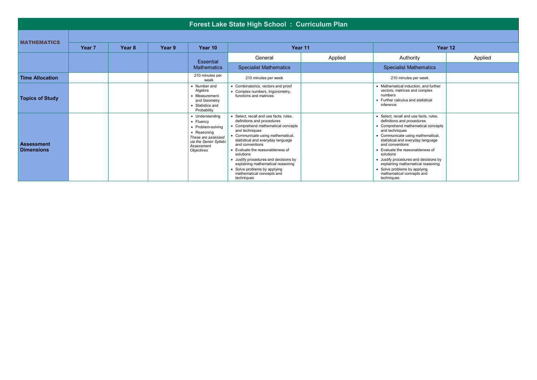|                                 |        |        |        |                                                                                                                                                     | <b>Forest Lake State High School: Curriculum Plan</b>                                                                                                                                                                                                                                                                                                                                                                               |         |                                                                                                                                                                                                                                                                                                                                                                                                                                     |         |
|---------------------------------|--------|--------|--------|-----------------------------------------------------------------------------------------------------------------------------------------------------|-------------------------------------------------------------------------------------------------------------------------------------------------------------------------------------------------------------------------------------------------------------------------------------------------------------------------------------------------------------------------------------------------------------------------------------|---------|-------------------------------------------------------------------------------------------------------------------------------------------------------------------------------------------------------------------------------------------------------------------------------------------------------------------------------------------------------------------------------------------------------------------------------------|---------|
| <b>MATHEMATICS</b>              |        |        |        |                                                                                                                                                     |                                                                                                                                                                                                                                                                                                                                                                                                                                     |         |                                                                                                                                                                                                                                                                                                                                                                                                                                     |         |
|                                 | Year 7 | Year 8 | Year 9 | Year 10                                                                                                                                             |                                                                                                                                                                                                                                                                                                                                                                                                                                     | Year 11 |                                                                                                                                                                                                                                                                                                                                                                                                                                     | Year 12 |
|                                 |        |        |        | <b>Essential</b>                                                                                                                                    | General                                                                                                                                                                                                                                                                                                                                                                                                                             | Applied | Authority                                                                                                                                                                                                                                                                                                                                                                                                                           | Applied |
|                                 |        |        |        | <b>Mathematics</b>                                                                                                                                  | <b>Specialist Mathematics</b>                                                                                                                                                                                                                                                                                                                                                                                                       |         | <b>Specialist Mathematics</b>                                                                                                                                                                                                                                                                                                                                                                                                       |         |
| <b>Time Allocation</b>          |        |        |        | 210 minutes per<br>week                                                                                                                             | 210 minutes per week                                                                                                                                                                                                                                                                                                                                                                                                                |         | 210 minutes per week                                                                                                                                                                                                                                                                                                                                                                                                                |         |
| <b>Topics of Study</b>          |        |        |        | • Number and<br>Algebra<br>• Measurement<br>and Geometry<br>• Statistics and<br>Probability                                                         | • Combinatorics, vectors and proof<br>• Complex numbers, trigonometry,<br>functions and matrices                                                                                                                                                                                                                                                                                                                                    |         | • Mathematical induction, and further<br>vectors, matrices and complex<br>numbers<br>• Further calculus and statistical<br>inference                                                                                                                                                                                                                                                                                                |         |
| Assessment<br><b>Dimensions</b> |        |        |        | • Understanding<br>• Fluency<br>• Problem-solving<br>• Reasoning<br>These are assessed<br>via the Senior Syllabi<br>Assessment<br><b>Obiectives</b> | • Select, recall and use facts, rules,<br>definitions and procedures<br>• Comprehend mathematical concepts<br>and techniques<br>• Communicate using mathematical,<br>statistical and everyday language<br>and conventions<br>• Evaluate the reasonableness of<br>solutions<br>• Justify procedures and decisions by<br>explaining mathematical reasoning<br>• Solve problems by applying<br>mathematical concepts and<br>techniques |         | • Select, recall and use facts, rules.<br>definitions and procedures<br>• Comprehend mathematical concepts<br>and techniques<br>• Communicate using mathematical,<br>statistical and everyday language<br>and conventions<br>• Evaluate the reasonableness of<br>solutions<br>• Justify procedures and decisions by<br>explaining mathematical reasoning<br>• Solve problems by applying<br>mathematical concepts and<br>techniques |         |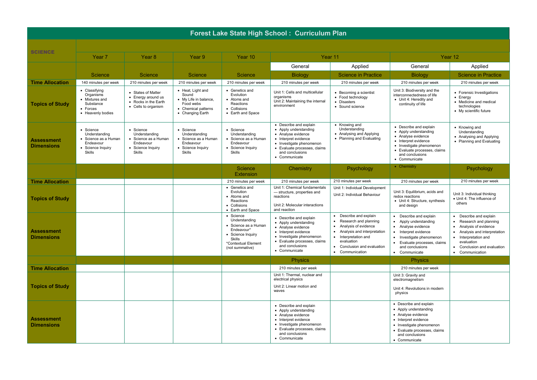| Forest Lake State High School: Curriculum Plan |                                                                                                |                                                                                                |                                                                                                             |                                                                                                                                           |                                                                                                                                                                                               |                                                                                                                                                                                                                  |                                                                                                                                                                                               |                                                                                                                                                                                                                      |  |  |
|------------------------------------------------|------------------------------------------------------------------------------------------------|------------------------------------------------------------------------------------------------|-------------------------------------------------------------------------------------------------------------|-------------------------------------------------------------------------------------------------------------------------------------------|-----------------------------------------------------------------------------------------------------------------------------------------------------------------------------------------------|------------------------------------------------------------------------------------------------------------------------------------------------------------------------------------------------------------------|-----------------------------------------------------------------------------------------------------------------------------------------------------------------------------------------------|----------------------------------------------------------------------------------------------------------------------------------------------------------------------------------------------------------------------|--|--|
|                                                |                                                                                                |                                                                                                |                                                                                                             |                                                                                                                                           |                                                                                                                                                                                               |                                                                                                                                                                                                                  |                                                                                                                                                                                               |                                                                                                                                                                                                                      |  |  |
| <b>SCIENCE</b>                                 | Year <sub>7</sub>                                                                              | Year 8                                                                                         | Year 9                                                                                                      | Year 10                                                                                                                                   |                                                                                                                                                                                               | Year 11                                                                                                                                                                                                          |                                                                                                                                                                                               | Year 12                                                                                                                                                                                                              |  |  |
|                                                |                                                                                                |                                                                                                |                                                                                                             |                                                                                                                                           | General                                                                                                                                                                                       | Applied                                                                                                                                                                                                          | General                                                                                                                                                                                       | Applied                                                                                                                                                                                                              |  |  |
|                                                | <b>Science</b>                                                                                 | <b>Science</b>                                                                                 | <b>Science</b>                                                                                              | <b>Science</b>                                                                                                                            | <b>Biology</b>                                                                                                                                                                                | <b>Science in Practice</b>                                                                                                                                                                                       | <b>Biology</b>                                                                                                                                                                                | <b>Science in Practice</b>                                                                                                                                                                                           |  |  |
| <b>Time Allocation</b>                         | 140 minutes per week                                                                           | 210 minutes per week                                                                           | 210 minutes per week                                                                                        | 210 minutes per week                                                                                                                      | 210 minutes per week                                                                                                                                                                          | 210 minutes per week                                                                                                                                                                                             | 210 minutes per week                                                                                                                                                                          | 210 minutes per week                                                                                                                                                                                                 |  |  |
| <b>Topics of Study</b>                         | • Classifying<br>Organisms<br>• Mixtures and<br>Substance<br>• Forces<br>• Heavenly bodies     | • States of Matter<br>• Energy around us<br>• Rocks in the Earth<br>• Cells to organism        | • Heat, Light and<br>Sound<br>• My Life in balance,<br>Food webs<br>• Chemical patterns<br>• Changing Earth | • Genetics and<br>Evolution<br>• Atoms and<br>Reactions<br>• Collisions<br>• Earth and Space                                              | Unit 1: Cells and multicellular<br>organisms<br>Unit 2: Maintaining the internal<br>environment                                                                                               | Becoming a scientist<br>• Food technology<br>• Disasters<br>• Sound science                                                                                                                                      | Unit 3: Biodiversity and the<br>interconnectedness of life<br>• Unit 4: Heredity and<br>continuity of life                                                                                    | • Forensic Investigations<br>$\bullet$ Energy<br>• Medicine and medical<br>technologies<br>• My scientific future                                                                                                    |  |  |
| <b>Assessment</b><br><b>Dimensions</b>         | • Science<br>Understanding<br>• Science as a Human<br>Endeavour<br>• Science Inquiry<br>Skills | • Science<br>Understanding<br>• Science as a Human<br>Endeavour<br>• Science Inquiry<br>Skills | • Science<br>Understanding<br>• Science as a Human<br>Endeavour<br>• Science Inquiry<br>Skills              | • Science<br>Understanding<br>• Science as a Human<br>Endeavour<br>• Science Inquiry<br>Skills                                            | • Describe and explain<br>• Apply understanding<br>• Analyse evidence<br>• Interpret evidence<br>• Investigate phenomenon<br>• Evaluate processes, claims<br>and conclusions<br>• Communicate | • Knowing and<br>Understanding<br>• Analysing and Applying<br>• Planning and Evaluating                                                                                                                          | • Describe and explain<br>• Apply understanding<br>• Analyse evidence<br>• Interpret evidence<br>• Investigate phenomenon<br>• Evaluate processes, claims<br>and conclusions<br>• Communicate | • Knowing and<br>Understanding<br>• Analysing and Applying<br>• Planning and Evaluating                                                                                                                              |  |  |
|                                                |                                                                                                |                                                                                                |                                                                                                             | Science<br>Extension                                                                                                                      | Chemistry                                                                                                                                                                                     | Psychology                                                                                                                                                                                                       | • Chemistry                                                                                                                                                                                   | Psychology                                                                                                                                                                                                           |  |  |
| <b>Time Allocation</b>                         |                                                                                                |                                                                                                |                                                                                                             | 210 minutes per week                                                                                                                      | 210 minutes per week                                                                                                                                                                          | 210 minutes per week                                                                                                                                                                                             | 210 minutes per week                                                                                                                                                                          | 210 minutes per week                                                                                                                                                                                                 |  |  |
| <b>Topics of Study</b>                         |                                                                                                |                                                                                                |                                                                                                             | • Genetics and<br>Evolution<br>• Atoms and<br>Reactions<br>• Collisions<br>• Earth and Space                                              | Unit 1: Chemical fundamentals<br>- structure, properties and<br>reactions<br>Unit 2: Molecular interactions<br>and reaction                                                                   | Unit 1: Individual Development<br>Unit 2: Individual Behaviour                                                                                                                                                   | Unit 3: Equilibrium, acids and<br>redox reactions<br>• Unit 4: Structure, synthesis<br>and design                                                                                             | Unit 3: Individual thinking<br>· Unit 4: The influence of<br>others                                                                                                                                                  |  |  |
| <b>Assessment</b><br><b>Dimensions</b>         |                                                                                                |                                                                                                |                                                                                                             | • Science<br>Understanding<br>• Science as a Human<br>Endeavour*<br>• Science Inquiry<br>Skills<br>*Contextual Element<br>(not summative) | • Describe and explain<br>• Apply understanding<br>• Analyse evidence<br>• Interpret evidence<br>• Investigate phenomenon<br>• Evaluate processes, claims<br>and conclusions<br>• Communicate | Describe and explain<br>Research and planning<br>Analysis of evidence<br>$\bullet$<br>Analysis and interpretation<br>$\bullet$<br>Interpretation and<br>evaluation<br>Conclusion and evaluation<br>Communication | • Describe and explain<br>• Apply understanding<br>• Analyse evidence<br>• Interpret evidence<br>• Investigate phenomenon<br>• Evaluate processes, claims<br>and conclusions<br>• Communicate | Describe and explain<br>Research and planning<br>Analysis of evidence<br>$\bullet$<br>• Analysis and interpretation<br>Interpretation and<br>evaluation<br>Conclusion and evaluation<br>$\bullet$<br>• Communication |  |  |
|                                                |                                                                                                |                                                                                                |                                                                                                             |                                                                                                                                           | <b>Physics</b>                                                                                                                                                                                |                                                                                                                                                                                                                  | <b>Physics</b>                                                                                                                                                                                |                                                                                                                                                                                                                      |  |  |
| <b>Time Allocation</b>                         |                                                                                                |                                                                                                |                                                                                                             |                                                                                                                                           | 210 minutes per week                                                                                                                                                                          |                                                                                                                                                                                                                  | 210 minutes per week                                                                                                                                                                          |                                                                                                                                                                                                                      |  |  |
| <b>Topics of Study</b>                         |                                                                                                |                                                                                                |                                                                                                             |                                                                                                                                           | Unit 1: Thermal, nuclear and<br>electrical physics<br>Unit 2: Linear motion and<br>waves                                                                                                      |                                                                                                                                                                                                                  | Unit 3: Gravity and<br>electromagnetism<br>Unit 4: Revolutions in modern<br>physics                                                                                                           |                                                                                                                                                                                                                      |  |  |
| <b>Assessment</b><br><b>Dimensions</b>         |                                                                                                |                                                                                                |                                                                                                             |                                                                                                                                           | • Describe and explain<br>• Apply understanding<br>• Analyse evidence<br>• Interpret evidence<br>• Investigate phenomenon<br>• Evaluate processes, claims<br>and conclusions<br>• Communicate |                                                                                                                                                                                                                  | • Describe and explain<br>• Apply understanding<br>• Analyse evidence<br>• Interpret evidence<br>• Investigate phenomenon<br>• Evaluate processes, claims<br>and conclusions<br>• Communicate |                                                                                                                                                                                                                      |  |  |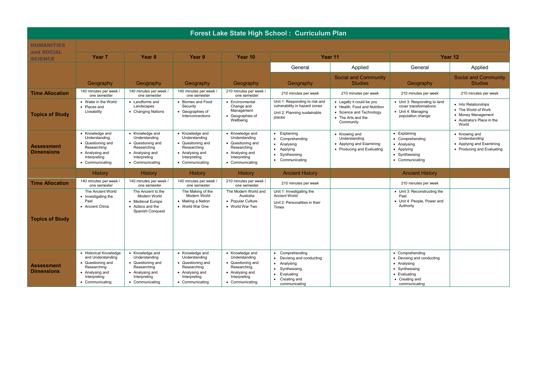|                                        | Forest Lake State High School: Curriculum Plan                                                                                        |                                                                                                                            |                                                                                                                            |                                                                                                                            |                                                                                                                                                         |                                                                                                                          |                                                                                                                                  |                                                                                                          |  |  |  |
|----------------------------------------|---------------------------------------------------------------------------------------------------------------------------------------|----------------------------------------------------------------------------------------------------------------------------|----------------------------------------------------------------------------------------------------------------------------|----------------------------------------------------------------------------------------------------------------------------|---------------------------------------------------------------------------------------------------------------------------------------------------------|--------------------------------------------------------------------------------------------------------------------------|----------------------------------------------------------------------------------------------------------------------------------|----------------------------------------------------------------------------------------------------------|--|--|--|
| <b>HUMANITIES</b>                      |                                                                                                                                       |                                                                                                                            |                                                                                                                            |                                                                                                                            |                                                                                                                                                         |                                                                                                                          |                                                                                                                                  |                                                                                                          |  |  |  |
| and SOCIAL<br><b>SCIENCE</b>           | <b>Year 7</b>                                                                                                                         | Year 8                                                                                                                     | <b>Year</b> 9                                                                                                              | Year 10                                                                                                                    | Year 11                                                                                                                                                 |                                                                                                                          | Year 12                                                                                                                          |                                                                                                          |  |  |  |
|                                        |                                                                                                                                       |                                                                                                                            |                                                                                                                            |                                                                                                                            | General                                                                                                                                                 | Applied                                                                                                                  | General                                                                                                                          | Applied                                                                                                  |  |  |  |
|                                        | Geography                                                                                                                             | Geography                                                                                                                  | Geography                                                                                                                  | Geography                                                                                                                  | Geography                                                                                                                                               | <b>Social and Community</b><br><b>Studies</b>                                                                            | Geography                                                                                                                        | <b>Social and Community</b><br><b>Studies</b>                                                            |  |  |  |
| <b>Time Allocation</b>                 | 140 minutes per week /<br>one semester                                                                                                | 140 minutes per week /<br>one semester                                                                                     | 140 minutes per week /<br>one semester                                                                                     | 210 minutes per week /<br>one semester                                                                                     | 210 minutes per week                                                                                                                                    | 210 minutes per week                                                                                                     | 210 minutes per week                                                                                                             | 210 minutes per week                                                                                     |  |  |  |
| <b>Topics of Study</b>                 | • Water in the World<br>• Places and<br>Liveability                                                                                   | • Landforms and<br>Landscapes<br>• Changing Nations                                                                        | • Biomes and Food<br>Security<br>• Geographies of<br>Interconnections                                                      | • Environmental<br>Change and<br>Management<br>• Geographies of<br>Wellbeing                                               | Unit 1: Responding to risk and<br>vulnerability in hazard zones<br>Unit 2: Planning sustainable<br>places                                               | • Legally it could be you<br>• Health. Food and Nutrition<br>• Science and Technology<br>• The Arts and the<br>Community | • Unit 3: Responding to land<br>cover transformations<br>• Unit 4: Managing<br>population change                                 | • Into Relationships<br>• The World of Work<br>• Money Management<br>• Australia's Place in the<br>World |  |  |  |
| <b>Assessment</b><br><b>Dimensions</b> | • Knowledge and<br>Understanding<br>• Questioning and<br>Researching<br>• Analysing and<br>Interpreting<br>• Communicating            | • Knowledge and<br>Understanding<br>• Questioning and<br>Researching<br>• Analysing and<br>Interpreting<br>• Communicating | • Knowledge and<br>Understanding<br>• Questioning and<br>Researching<br>• Analysing and<br>Interpreting<br>• Communicating | • Knowledge and<br>Understanding<br>• Questioning and<br>Researching<br>• Analysing and<br>Interpreting<br>• Communicating | Explaining<br>Comprehending<br>• Analysing<br>• Applying<br>Synthesising<br>$\bullet$<br>• Communicating                                                | • Knowing and<br>Understanding<br>• Applying and Examining<br>• Producing and Evaluating                                 | • Explaining<br>• Comprehending<br>• Analysing<br>• Applying<br>• Synthesising<br>• Communicating                                | • Knowing and<br>Understanding<br>• Applying and Examining<br>• Producing and Evaluating                 |  |  |  |
|                                        | History                                                                                                                               | History                                                                                                                    | <b>History</b>                                                                                                             | <b>History</b>                                                                                                             | <b>Ancient History</b>                                                                                                                                  |                                                                                                                          | <b>Ancient History</b>                                                                                                           |                                                                                                          |  |  |  |
| <b>Time Allocation</b>                 | 140 minutes per week /<br>one semester                                                                                                | 140 minutes per week /<br>one semester                                                                                     | 140 minutes per week /<br>one semester                                                                                     | 210 minutes per week /<br>one semester                                                                                     | 210 minutes per week                                                                                                                                    |                                                                                                                          | 210 minutes per week                                                                                                             |                                                                                                          |  |  |  |
| <b>Topics of Study</b>                 | The Ancient World<br>• Investigating the<br>Past<br>• Ancient China                                                                   | The Ancient to the<br>Modern World<br>• Medieval Europe<br>• Aztecs and the<br>Spanish Conquest                            | The Making of the<br>Modern World<br>• Making a Nation<br>• World War One                                                  | The Modern World and<br>Australia<br>• Popular Culture<br>• World War Two                                                  | Unit 1: Investigating the<br>Ancient World<br>Unit 2: Personalities in their<br>Times                                                                   |                                                                                                                          | • Unit 3: Reconstructing the<br>Past<br>• Unit 4: People, Power and<br>Authority                                                 |                                                                                                          |  |  |  |
| Assessment<br><b>Dimensions</b>        | • Historical Knowledge<br>and Understanding<br>• Questioning and<br>Researching<br>• Analysing and<br>Interpreting<br>• Communicating | • Knowledge and<br>Understanding<br>• Questioning and<br>Researching<br>• Analysing and<br>Interpreting<br>• Communicating | • Knowledge and<br>Understanding<br>• Questioning and<br>Researching<br>• Analysing and<br>Interpreting<br>• Communicating | • Knowledge and<br>Understanding<br>• Questioning and<br>Researching<br>• Analysing and<br>Interpreting<br>• Communicating | Comprehending<br>Devising and conducting<br>٠<br>• Analysing<br>Synthesising<br>$\bullet$<br>Evaluating<br>$\bullet$<br>• Creating and<br>communicating |                                                                                                                          | • Comprehending<br>• Devising and conducting<br>• Analysing<br>• Synthesising<br>• Evaluating<br>• Creating and<br>communicating |                                                                                                          |  |  |  |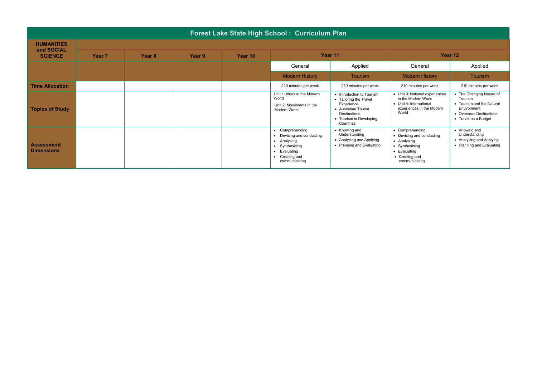|                                        | Forest Lake State High School: Curriculum Plan |        |        |         |                                                                                                                                                                            |                                                                                                                                                   |                                                                                                                                  |                                                                                                                                    |  |  |  |
|----------------------------------------|------------------------------------------------|--------|--------|---------|----------------------------------------------------------------------------------------------------------------------------------------------------------------------------|---------------------------------------------------------------------------------------------------------------------------------------------------|----------------------------------------------------------------------------------------------------------------------------------|------------------------------------------------------------------------------------------------------------------------------------|--|--|--|
| <b>HUMANITIES</b>                      |                                                |        |        |         |                                                                                                                                                                            |                                                                                                                                                   |                                                                                                                                  |                                                                                                                                    |  |  |  |
| and SOCIAL<br><b>SCIENCE</b>           | Year <sub>7</sub>                              | Year 8 | Year 9 | Year 10 | Year 11                                                                                                                                                                    |                                                                                                                                                   | Year 12                                                                                                                          |                                                                                                                                    |  |  |  |
|                                        |                                                |        |        |         | General                                                                                                                                                                    | Applied                                                                                                                                           | General                                                                                                                          | Applied                                                                                                                            |  |  |  |
|                                        |                                                |        |        |         | <b>Modern History</b>                                                                                                                                                      | <b>Tourism</b>                                                                                                                                    | <b>Modern History</b>                                                                                                            | <b>Tourism</b>                                                                                                                     |  |  |  |
| <b>Time Allocation</b>                 |                                                |        |        |         | 210 minutes per week                                                                                                                                                       | 210 minutes per week                                                                                                                              | 210 minutes per week                                                                                                             | 210 minutes per week                                                                                                               |  |  |  |
| <b>Topics of Study</b>                 |                                                |        |        |         | Unit 1: Ideas in the Modern<br>World<br>Unit 2: Movements in the<br>Modern World                                                                                           | • Introduction to Tourism<br>• Tailoring the Travel<br>Experience<br>• Australian Tourist<br>Destinations<br>• Tourism in Developing<br>Countries | • Unit 3: National experiences<br>in the Modern World<br>• Unit 4: International<br>experiences in the Modern<br>World           | • The Changing Nature of<br>Tourism<br>• Tourism and the Natural<br>Environment<br>• Overseas Destinations<br>• Travel on a Budget |  |  |  |
| <b>Assessment</b><br><b>Dimensions</b> |                                                |        |        |         | Comprehending<br>$\bullet$<br>Devising and conducting<br>• Analysing<br>Synthesising<br>$\bullet$<br>Evaluating<br>$\bullet$<br>Creating and<br>$\bullet$<br>communicating | • Knowing and<br>Understanding<br>• Analysing and Applying<br>• Planning and Evaluating                                                           | • Comprehending<br>• Devising and conducting<br>• Analysing<br>• Synthesising<br>• Evaluating<br>• Creating and<br>communicating | • Knowing and<br>Understanding<br>• Analysing and Applying<br>• Planning and Evaluating                                            |  |  |  |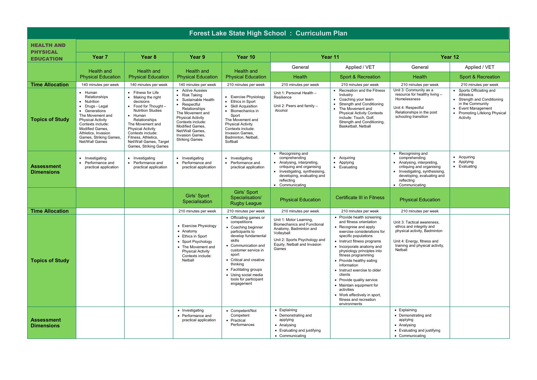| Forest Lake State High School: Curriculum Plan |                                                                                                                                                                                                                                    |                                                                                                                                                                                                                                                                                                      |                                                                                                                                                                                                                                                   |                                                                                                                                                                                                                                                                                                         |                                                                                                                                                                                                |                                                                                                                                                                                                                                                                                                                                                                                                                                                                                             |                                                                                                                                                                                                |                                                                                                                                                             |  |  |
|------------------------------------------------|------------------------------------------------------------------------------------------------------------------------------------------------------------------------------------------------------------------------------------|------------------------------------------------------------------------------------------------------------------------------------------------------------------------------------------------------------------------------------------------------------------------------------------------------|---------------------------------------------------------------------------------------------------------------------------------------------------------------------------------------------------------------------------------------------------|---------------------------------------------------------------------------------------------------------------------------------------------------------------------------------------------------------------------------------------------------------------------------------------------------------|------------------------------------------------------------------------------------------------------------------------------------------------------------------------------------------------|---------------------------------------------------------------------------------------------------------------------------------------------------------------------------------------------------------------------------------------------------------------------------------------------------------------------------------------------------------------------------------------------------------------------------------------------------------------------------------------------|------------------------------------------------------------------------------------------------------------------------------------------------------------------------------------------------|-------------------------------------------------------------------------------------------------------------------------------------------------------------|--|--|
| <b>HEALTH AND</b>                              |                                                                                                                                                                                                                                    |                                                                                                                                                                                                                                                                                                      |                                                                                                                                                                                                                                                   |                                                                                                                                                                                                                                                                                                         |                                                                                                                                                                                                |                                                                                                                                                                                                                                                                                                                                                                                                                                                                                             |                                                                                                                                                                                                |                                                                                                                                                             |  |  |
| <b>PHYSICAL</b><br><b>EDUCATION</b>            | Year <sub>7</sub>                                                                                                                                                                                                                  | Year 8                                                                                                                                                                                                                                                                                               | Year 9                                                                                                                                                                                                                                            | Year 10                                                                                                                                                                                                                                                                                                 | Year 11                                                                                                                                                                                        |                                                                                                                                                                                                                                                                                                                                                                                                                                                                                             | Year 12                                                                                                                                                                                        |                                                                                                                                                             |  |  |
|                                                | Health and                                                                                                                                                                                                                         | Health and                                                                                                                                                                                                                                                                                           | Health and                                                                                                                                                                                                                                        | Health and                                                                                                                                                                                                                                                                                              | General                                                                                                                                                                                        | Applied / VET                                                                                                                                                                                                                                                                                                                                                                                                                                                                               | General                                                                                                                                                                                        | Applied / VET                                                                                                                                               |  |  |
|                                                | <b>Physical Education</b>                                                                                                                                                                                                          | <b>Physical Education</b>                                                                                                                                                                                                                                                                            | <b>Physical Education</b>                                                                                                                                                                                                                         | <b>Physical Education</b>                                                                                                                                                                                                                                                                               | Health                                                                                                                                                                                         | Sport & Recreation                                                                                                                                                                                                                                                                                                                                                                                                                                                                          | Health                                                                                                                                                                                         | Sport & Recreation                                                                                                                                          |  |  |
| <b>Time Allocation</b>                         | 140 minutes per week                                                                                                                                                                                                               | 140 minutes per week                                                                                                                                                                                                                                                                                 | 140 minutes per week                                                                                                                                                                                                                              | 210 minutes per week                                                                                                                                                                                                                                                                                    | 210 minutes per week                                                                                                                                                                           | 210 minutes per week                                                                                                                                                                                                                                                                                                                                                                                                                                                                        | 210 minutes per week                                                                                                                                                                           | 210 minutes per week                                                                                                                                        |  |  |
| <b>Topics of Study</b>                         | · Human<br>Relationships<br>Nutrition<br>Drugs - Legal<br>• Generations<br>The Movement and<br><b>Physical Activity</b><br>Contexts include:<br>Modified Games.<br>Athletics, Invasion<br>Games, Striking Games,<br>Net/Wall Games | • Fitness for Life<br>• Making the right<br>decisions<br>$\bullet$ Food for Thought -<br><b>Nutrition Studies</b><br>$\bullet$ Human<br>Relationships<br>The Movement and<br><b>Physical Activity</b><br>Contexts include:<br>Fitness, Athletics.<br>Net/Wall Games, Target<br>Games, Striking Games | • Active Aussies<br>• Risk Taking<br>• Sustainable Health<br>• Respectful<br>Relationships<br>The Movement and<br><b>Physical Activity</b><br>Contexts include:<br>Modified Games.<br>Net/Wall Games,<br>Invasion Games,<br><b>Striking Games</b> | • Exercise Physiology<br>• Ethics in Sport<br>• Skill Acquisition<br>• Biomechanics in<br>Sport<br>The Movement and<br><b>Physical Activity</b><br>Contexts include:<br>Invasion Games,<br>Badminton, Netball.<br>Softball                                                                              | Unit 1: Personal Health -<br>Resilience<br>Unit 2: Peers and family $-$<br>Alcohol                                                                                                             | Recreation and the Fitness<br>Industry<br>Coaching your team<br><b>Strength and Conditioning</b><br>The Movement and<br><b>Physical Activity Contexts</b><br>include: Touch, Golf,<br>Strength and Conditioning,<br>Basketball, Netball                                                                                                                                                                                                                                                     | Unit 3: Community as a<br>resource for healthy living -<br>Homelessness<br>Unit 4: Respectful<br>Relationships in the post<br>schooling transition                                             | • Sports Officiating and<br>Athletics<br>• Strength and Conditioning<br>in the Community<br>• Event Management<br>• Promoting Lifelong Physical<br>Activity |  |  |
| <b>Assessment</b><br><b>Dimensions</b>         | • Investigating<br>Performance and<br>practical application                                                                                                                                                                        | • Investigating<br>• Performance and<br>practical application                                                                                                                                                                                                                                        | • Investigating<br>• Performance and<br>practical application                                                                                                                                                                                     | • Investigating<br>• Performance and<br>practical application                                                                                                                                                                                                                                           | • Recognising and<br>comprehending<br>• Analysing, interpreting,<br>critiquing and organising<br>• Investigating, synthesising,<br>developing, evaluating and<br>reflecting<br>• Communicating | • Acquiring<br>Applying<br>Evaluating                                                                                                                                                                                                                                                                                                                                                                                                                                                       | • Recognising and<br>comprehending<br>• Analysing, interpreting,<br>critiquing and organising<br>• Investigating, synthesising,<br>developing, evaluating and<br>reflecting<br>• Communicating | • Acquiring<br>• Applying<br>• Evaluating                                                                                                                   |  |  |
|                                                |                                                                                                                                                                                                                                    |                                                                                                                                                                                                                                                                                                      |                                                                                                                                                                                                                                                   | Girls' Sport                                                                                                                                                                                                                                                                                            |                                                                                                                                                                                                |                                                                                                                                                                                                                                                                                                                                                                                                                                                                                             |                                                                                                                                                                                                |                                                                                                                                                             |  |  |
|                                                |                                                                                                                                                                                                                                    |                                                                                                                                                                                                                                                                                                      | Girls' Sport<br>Specialisation                                                                                                                                                                                                                    | Specialisation/<br><b>Rugby League</b>                                                                                                                                                                                                                                                                  | <b>Physical Education</b>                                                                                                                                                                      | <b>Certificate III in Fitness</b>                                                                                                                                                                                                                                                                                                                                                                                                                                                           | <b>Physical Education</b>                                                                                                                                                                      |                                                                                                                                                             |  |  |
| <b>Time Allocation</b>                         |                                                                                                                                                                                                                                    |                                                                                                                                                                                                                                                                                                      | 210 minutes per week                                                                                                                                                                                                                              | 210 minutes per week                                                                                                                                                                                                                                                                                    | 210 minutes per week                                                                                                                                                                           | 210 minutes per week                                                                                                                                                                                                                                                                                                                                                                                                                                                                        | 210 minutes per week                                                                                                                                                                           |                                                                                                                                                             |  |  |
| <b>Topics of Study</b>                         |                                                                                                                                                                                                                                    |                                                                                                                                                                                                                                                                                                      | • Exercise Physiology<br>• Anatomy<br>• Ethics in Sport<br>• Sport Psychology<br>• The Movement and<br><b>Physical Activity</b><br>Contexts include:<br>Netball                                                                                   | • Officiating games or<br>competitions<br>• Coaching beginner<br>participants to<br>develop fundamental<br>skills<br>• Communication and<br>customer service in<br>sport<br>• Critical and creative<br>thinking<br>• Facilitating groups<br>• Using social media<br>tools for participant<br>engagement | Unit 1: Motor Learning,<br><b>Biomechanics and Functional</b><br>Anatomy, Badminton and<br>Volleyball<br>Unit 2: Sports Psychology and<br>Equity, Netball and Invasion<br>Games                | • Provide health screening<br>and fitness orientation<br>Recognise and apply<br>exercise considerations for<br>specific populations<br>• Instruct fitness programs<br>• Incorporate anatomy and<br>physiology principles into<br>fitness programming<br>• Provide healthy eating<br>information<br>• Instruct exercise to older<br>clients<br>• Provide quality service<br>• Maintain equipment for<br>activities<br>• Work effectively in sport,<br>fitness and recreation<br>environments | Unit 3: Tactical awareness,<br>ethics and integrity and<br>physical activity, Badminton<br>Unit 4: Energy, fitness and<br>training and physical activity,<br>Netball                           |                                                                                                                                                             |  |  |
| <b>Assessment</b><br><b>Dimensions</b>         |                                                                                                                                                                                                                                    |                                                                                                                                                                                                                                                                                                      | • Investigating<br>• Performance and<br>practical application                                                                                                                                                                                     | • Competent/Not<br>Competent<br>• Practical<br>Performances                                                                                                                                                                                                                                             | • Explaining<br>• Demonstrating and<br>applying<br>• Analysing<br>• Evaluating and justifying<br>• Communicating                                                                               |                                                                                                                                                                                                                                                                                                                                                                                                                                                                                             | • Explaining<br>• Demonstrating and<br>applying<br>• Analysing<br>• Evaluating and justifying<br>• Communicating                                                                               |                                                                                                                                                             |  |  |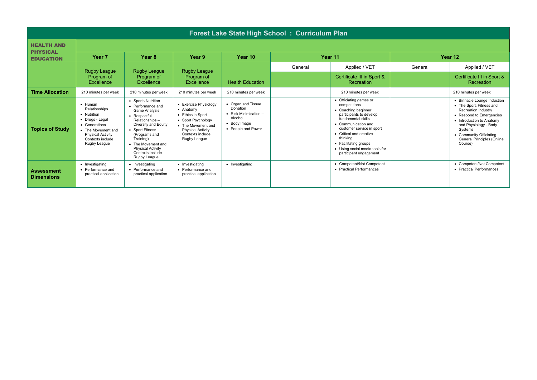|                                        | Forest Lake State High School: Curriculum Plan                                                                                                                            |                                                                                                                                                                                                                                                                  |                                                                                                                                                                      |                                                                                                                    |         |                                                                                                                                                                                                                                                                                                |         |                                                                                                                                                                                                                                                        |  |  |  |  |
|----------------------------------------|---------------------------------------------------------------------------------------------------------------------------------------------------------------------------|------------------------------------------------------------------------------------------------------------------------------------------------------------------------------------------------------------------------------------------------------------------|----------------------------------------------------------------------------------------------------------------------------------------------------------------------|--------------------------------------------------------------------------------------------------------------------|---------|------------------------------------------------------------------------------------------------------------------------------------------------------------------------------------------------------------------------------------------------------------------------------------------------|---------|--------------------------------------------------------------------------------------------------------------------------------------------------------------------------------------------------------------------------------------------------------|--|--|--|--|
| <b>HEALTH AND</b>                      |                                                                                                                                                                           |                                                                                                                                                                                                                                                                  |                                                                                                                                                                      |                                                                                                                    |         |                                                                                                                                                                                                                                                                                                |         |                                                                                                                                                                                                                                                        |  |  |  |  |
| <b>PHYSICAL</b><br><b>EDUCATION</b>    | Year <sub>7</sub>                                                                                                                                                         | Year <sub>8</sub>                                                                                                                                                                                                                                                | Year 9                                                                                                                                                               | Year 10                                                                                                            |         | Year 11                                                                                                                                                                                                                                                                                        |         | Year 12                                                                                                                                                                                                                                                |  |  |  |  |
|                                        | <b>Rugby League</b>                                                                                                                                                       | <b>Rugby League</b>                                                                                                                                                                                                                                              | <b>Rugby League</b>                                                                                                                                                  |                                                                                                                    | General | Applied / VET                                                                                                                                                                                                                                                                                  | General | Applied / VET                                                                                                                                                                                                                                          |  |  |  |  |
|                                        | Program of<br>Excellence                                                                                                                                                  | Program of<br><b>Excellence</b>                                                                                                                                                                                                                                  | Program of<br>Excellence                                                                                                                                             | <b>Health Education</b>                                                                                            |         | Certificate III in Sport &<br><b>Recreation</b>                                                                                                                                                                                                                                                |         | Certificate III in Sport &<br>Recreation                                                                                                                                                                                                               |  |  |  |  |
| <b>Time Allocation</b>                 | 210 minutes per week                                                                                                                                                      | 210 minutes per week                                                                                                                                                                                                                                             | 210 minutes per week                                                                                                                                                 | 210 minutes per week                                                                                               |         | 210 minutes per week                                                                                                                                                                                                                                                                           |         | 210 minutes per week                                                                                                                                                                                                                                   |  |  |  |  |
| <b>Topics of Study</b>                 | $\bullet$ Human<br>Relationships<br>• Nutrition<br>• Drugs - Legal<br>• Generations<br>• The Movement and<br><b>Physical Activity</b><br>Contexts include<br>Rugby League | • Sports Nutrition<br>• Performance and<br><b>Game Analysis</b><br>• Respectful<br>Relationships-<br>Diversity and Equity<br>• Sport Fitness<br>(Programs and<br>Training)<br>• The Movement and<br><b>Physical Activity</b><br>Contexts include<br>Rugby League | • Exercise Physiology<br>• Anatomy<br>• Ethics in Sport<br>• Sport Psychology<br>• The Movement and<br><b>Physical Activity</b><br>Contexts include:<br>Rugby League | • Organ and Tissue<br>Donation<br>$\bullet$ Risk Minimisation $-$<br>Alcohol<br>• Body Image<br>• People and Power |         | • Officiating games or<br>competitions<br>• Coaching beginner<br>participants to develop<br>fundamental skills<br>• Communication and<br>customer service in sport<br>• Critical and creative<br>thinking<br>• Facilitating groups<br>• Using social media tools for<br>participant engagement |         | • Binnacle Lounge Induction<br>• The Sport, Fitness and<br><b>Recreation Industry</b><br>• Respond to Emergencies<br>• Introduction to Anatomy<br>and Physiology - Body<br>Systems<br>• Community Officiating<br>General Principles (Online<br>Course) |  |  |  |  |
| <b>Assessment</b><br><b>Dimensions</b> | • Investigating<br>• Performance and<br>practical application                                                                                                             | • Investigating<br>• Performance and<br>practical application                                                                                                                                                                                                    | • Investigating<br>• Performance and<br>practical application                                                                                                        | • Investigating                                                                                                    |         | • Competent/Not Competent<br>• Practical Performances                                                                                                                                                                                                                                          |         | • Competent/Not Competent<br>• Practical Performances                                                                                                                                                                                                  |  |  |  |  |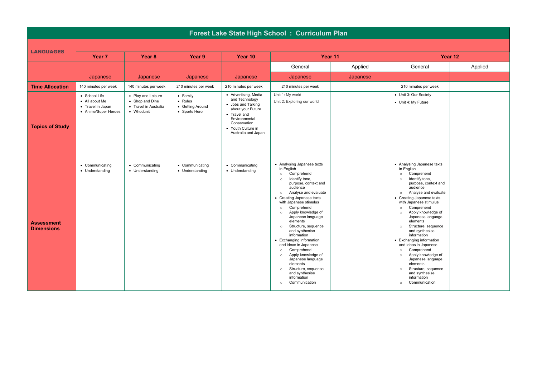|                                        | Forest Lake State High School : Curriculum Plan                              |                                                                              |                                                                  |                                                                                                                                                                                 |                                                                                                                                                                                                                                                                                                                                                                                                                                                                                                                                                                                                                                           |          |                                                                                                                                                                                                                                                                                                                                                                                                                                                                                                                                                                                                                                           |         |  |  |
|----------------------------------------|------------------------------------------------------------------------------|------------------------------------------------------------------------------|------------------------------------------------------------------|---------------------------------------------------------------------------------------------------------------------------------------------------------------------------------|-------------------------------------------------------------------------------------------------------------------------------------------------------------------------------------------------------------------------------------------------------------------------------------------------------------------------------------------------------------------------------------------------------------------------------------------------------------------------------------------------------------------------------------------------------------------------------------------------------------------------------------------|----------|-------------------------------------------------------------------------------------------------------------------------------------------------------------------------------------------------------------------------------------------------------------------------------------------------------------------------------------------------------------------------------------------------------------------------------------------------------------------------------------------------------------------------------------------------------------------------------------------------------------------------------------------|---------|--|--|
| <b>LANGUAGES</b>                       |                                                                              |                                                                              |                                                                  |                                                                                                                                                                                 |                                                                                                                                                                                                                                                                                                                                                                                                                                                                                                                                                                                                                                           |          |                                                                                                                                                                                                                                                                                                                                                                                                                                                                                                                                                                                                                                           |         |  |  |
|                                        | Year <sub>7</sub>                                                            | Year <sub>8</sub>                                                            | Year 9                                                           | Year 10                                                                                                                                                                         |                                                                                                                                                                                                                                                                                                                                                                                                                                                                                                                                                                                                                                           | Year 11  |                                                                                                                                                                                                                                                                                                                                                                                                                                                                                                                                                                                                                                           | Year 12 |  |  |
|                                        |                                                                              |                                                                              |                                                                  |                                                                                                                                                                                 | General                                                                                                                                                                                                                                                                                                                                                                                                                                                                                                                                                                                                                                   | Applied  | General                                                                                                                                                                                                                                                                                                                                                                                                                                                                                                                                                                                                                                   | Applied |  |  |
|                                        | Japanese                                                                     | Japanese                                                                     | Japanese                                                         | Japanese                                                                                                                                                                        | Japanese                                                                                                                                                                                                                                                                                                                                                                                                                                                                                                                                                                                                                                  | Japanese |                                                                                                                                                                                                                                                                                                                                                                                                                                                                                                                                                                                                                                           |         |  |  |
| <b>Time Allocation</b>                 | 140 minutes per week                                                         | 140 minutes per week                                                         | 210 minutes per week                                             | 210 minutes per week                                                                                                                                                            | 210 minutes per week                                                                                                                                                                                                                                                                                                                                                                                                                                                                                                                                                                                                                      |          | 210 minutes per week                                                                                                                                                                                                                                                                                                                                                                                                                                                                                                                                                                                                                      |         |  |  |
| <b>Topics of Study</b>                 | • School Life<br>• All about Me<br>• Travel in Japan<br>• Anime/Super Heroes | • Play and Leisure<br>• Shop and Dine<br>• Travel in Australia<br>• Whodunit | • Family<br>$\bullet$ Rules<br>• Getting Around<br>• Sports Hero | • Advertising, Media<br>and Technology<br>• Jobs and Talking<br>about your Future<br>• Travel and<br>Environmental<br>Conservation<br>• Youth Culture in<br>Australia and Japan | Unit 1: My world<br>Unit 2: Exploring our world                                                                                                                                                                                                                                                                                                                                                                                                                                                                                                                                                                                           |          | • Unit 3: Our Society<br>• Unit 4: My Future                                                                                                                                                                                                                                                                                                                                                                                                                                                                                                                                                                                              |         |  |  |
| <b>Assessment</b><br><b>Dimensions</b> | • Communicating<br>• Understanding                                           | • Communicating<br>• Understanding                                           | • Communicating<br>• Understanding                               | • Communicating<br>• Understanding                                                                                                                                              | • Analysing Japanese texts<br>in English<br>Comprehend<br>$\circ$<br>Identify tone,<br>$\circ$<br>purpose, context and<br>audience<br>Analyse and evaluate<br>$\circ$<br>• Creating Japanese texts<br>with Japanese stimulus<br>Comprehend<br>$\circ$<br>Apply knowledge of<br>$\circ$<br>Japanese language<br>elements<br>Structure, sequence<br>$\circ$<br>and synthesise<br>information<br>• Exchanging information<br>and ideas in Japanese<br>Comprehend<br>$\circ$<br>Apply knowledge of<br>$\circ$<br>Japanese language<br>elements<br>Structure, sequence<br>$\circ$<br>and synthesise<br>information<br>Communication<br>$\circ$ |          | • Analysing Japanese texts<br>in English<br>Comprehend<br>$\circ$<br>Identify tone,<br>$\circ$<br>purpose, context and<br>audience<br>Analyse and evaluate<br>$\circ$<br>• Creating Japanese texts<br>with Japanese stimulus<br>Comprehend<br>$\circ$<br>Apply knowledge of<br>$\circ$<br>Japanese language<br>elements<br>Structure, sequence<br>$\circ$<br>and synthesise<br>information<br>• Exchanging information<br>and ideas in Japanese<br>Comprehend<br>$\circ$<br>Apply knowledge of<br>$\circ$<br>Japanese language<br>elements<br>Structure, sequence<br>$\circ$<br>and synthesise<br>information<br>Communication<br>$\circ$ |         |  |  |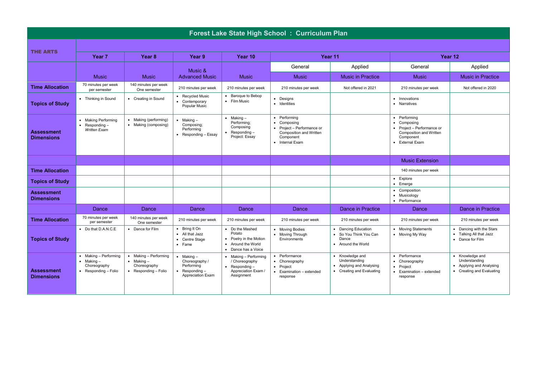|                                        |                                                                                                          |                                                                                             |                                                                                             |                                                                                                     | Forest Lake State High School: Curriculum Plan                                                                                                        |                                                                                         |                                                                                                                      |                                                                                           |
|----------------------------------------|----------------------------------------------------------------------------------------------------------|---------------------------------------------------------------------------------------------|---------------------------------------------------------------------------------------------|-----------------------------------------------------------------------------------------------------|-------------------------------------------------------------------------------------------------------------------------------------------------------|-----------------------------------------------------------------------------------------|----------------------------------------------------------------------------------------------------------------------|-------------------------------------------------------------------------------------------|
|                                        |                                                                                                          |                                                                                             |                                                                                             |                                                                                                     |                                                                                                                                                       |                                                                                         |                                                                                                                      |                                                                                           |
| <b>THE ARTS</b>                        | Year <sub>7</sub>                                                                                        | Year <sub>8</sub>                                                                           | Year 9                                                                                      | Year 10                                                                                             | Year 11                                                                                                                                               |                                                                                         |                                                                                                                      | Year 12                                                                                   |
|                                        |                                                                                                          |                                                                                             | Music &                                                                                     |                                                                                                     | General                                                                                                                                               | Applied                                                                                 | General                                                                                                              | Applied                                                                                   |
|                                        | <b>Music</b>                                                                                             | <b>Music</b>                                                                                | <b>Advanced Music</b>                                                                       | <b>Music</b>                                                                                        | <b>Music</b>                                                                                                                                          | <b>Music in Practice</b>                                                                | <b>Music</b>                                                                                                         | <b>Music in Practice</b>                                                                  |
| <b>Time Allocation</b>                 | 70 minutes per week<br>per semester                                                                      | 140 minutes per week<br>One semester                                                        | 210 minutes per week                                                                        | 210 minutes per week                                                                                | 210 minutes per week                                                                                                                                  | Not offered in 2021                                                                     | 210 minutes per week                                                                                                 | Not offered in 2020                                                                       |
| <b>Topics of Study</b>                 | • Thinking in Sound                                                                                      | • Creating in Sound                                                                         | • Recycled Music<br>• Contemporary<br>Popular Music                                         | • Baroque to Bebop<br>• Film Music                                                                  | • Designs<br>· Identities                                                                                                                             |                                                                                         | • Innovations<br>• Narratives                                                                                        |                                                                                           |
| <b>Assessment</b><br><b>Dimensions</b> | • Making Performing<br>Responding-<br>$\bullet$<br><b>Written Exam</b>                                   | • Making (performing)<br>• Making (composing)                                               | $\bullet$ Making $-$<br>Composing:<br>Performing<br>• Responding $-$ Essay                  | $\bullet$ Making $-$<br>Performing;<br>Composing<br>Responding-<br>Project: Essay                   | Performing<br>$\bullet$<br>Composing<br>$\bullet$<br>Project - Performance or<br>$\bullet$<br>Composition and Written<br>Component<br>• Internal Exam |                                                                                         | • Performina<br>• Composing<br>• Project - Performance or<br>Composition and Written<br>Component<br>• External Exam |                                                                                           |
|                                        |                                                                                                          |                                                                                             |                                                                                             |                                                                                                     |                                                                                                                                                       |                                                                                         | <b>Music Extension</b>                                                                                               |                                                                                           |
| <b>Time Allocation</b>                 |                                                                                                          |                                                                                             |                                                                                             |                                                                                                     |                                                                                                                                                       |                                                                                         | 140 minutes per week                                                                                                 |                                                                                           |
| <b>Topics of Study</b>                 |                                                                                                          |                                                                                             |                                                                                             |                                                                                                     |                                                                                                                                                       |                                                                                         | • Explore<br>$\bullet$ Emerge                                                                                        |                                                                                           |
| <b>Assessment</b><br><b>Dimensions</b> |                                                                                                          |                                                                                             |                                                                                             |                                                                                                     |                                                                                                                                                       |                                                                                         | Composition<br>• Musicology<br>• Performance                                                                         |                                                                                           |
|                                        | Dance                                                                                                    | Dance                                                                                       | Dance                                                                                       | Dance                                                                                               | Dance                                                                                                                                                 | Dance in Practice                                                                       | Dance                                                                                                                | Dance in Practice                                                                         |
| <b>Time Allocation</b>                 | 70 minutes per week<br>per semester                                                                      | 140 minutes per week<br>One semester                                                        | 210 minutes per week                                                                        | 210 minutes per week                                                                                | 210 minutes per week                                                                                                                                  | 210 minutes per week                                                                    | 210 minutes per week                                                                                                 | 210 minutes per week                                                                      |
| <b>Topics of Study</b>                 | • Do that D.A.N.C.E                                                                                      | • Dance for Film                                                                            | Bring It On<br>$\bullet$<br>• All that Jazz<br>• Centre Stage<br>$\bullet$ Fame             | • Do the Mashed<br>Potato<br>• Poetry in the Motion<br>• Around the World<br>• Dance has a Voice    | • Moving Bodies<br>• Moving Through<br>Environments                                                                                                   | Dancing Education<br>$\bullet$<br>So You Think You Can<br>Dance<br>Around the World     | • Moving Statements<br>• Moving My Way                                                                               | • Dancing with the Stars<br>Talking All that Jazz<br>• Dance for Film                     |
| <b>Assessment</b><br><b>Dimensions</b> | Making - Performing<br>$\bullet$<br>$\bullet$ Making $-$<br>Choreography<br>$\bullet$ Responding - Folio | Making - Performing<br>$\bullet$ Making $-$<br>Choreography<br>$\bullet$ Responding - Folio | $\bullet$ Making -<br>Choreography /<br>Performing<br>• Responding $-$<br>Appreciation Exam | $\bullet$ Making - Performing<br>/ Choreography<br>Responding-<br>Appreciation Exam /<br>Assignment | Performance<br>$\bullet$<br>• Choreography<br>• Project<br>Examination - extended<br>$\bullet$<br>response                                            | • Knowledge and<br>Understanding<br>Applying and Analysing<br>• Creating and Evaluating | • Performance<br>• Choreography<br>• Project<br>• Examination - extended<br>response                                 | • Knowledge and<br>Understanding<br>• Applying and Analysing<br>• Creating and Evaluating |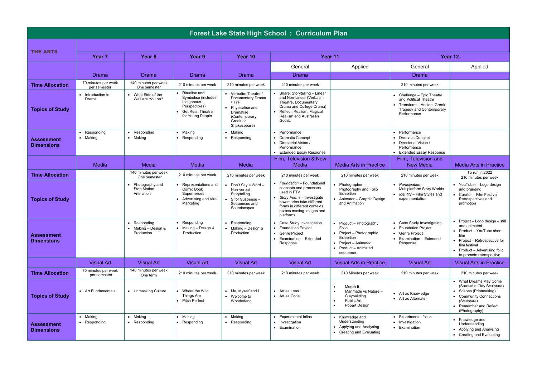|                                        | Forest Lake State High School: Curriculum Plan |                                                    |                                                                                                                  |                                                                                                                                   |                                                                                                                                                                                                         |                                                                                                                                               |                                                                                                                               |                                                                                                                                                                                                         |  |  |  |  |
|----------------------------------------|------------------------------------------------|----------------------------------------------------|------------------------------------------------------------------------------------------------------------------|-----------------------------------------------------------------------------------------------------------------------------------|---------------------------------------------------------------------------------------------------------------------------------------------------------------------------------------------------------|-----------------------------------------------------------------------------------------------------------------------------------------------|-------------------------------------------------------------------------------------------------------------------------------|---------------------------------------------------------------------------------------------------------------------------------------------------------------------------------------------------------|--|--|--|--|
|                                        |                                                |                                                    |                                                                                                                  |                                                                                                                                   |                                                                                                                                                                                                         |                                                                                                                                               |                                                                                                                               |                                                                                                                                                                                                         |  |  |  |  |
| <b>THE ARTS</b>                        | Year <sub>7</sub>                              | Year <sub>8</sub>                                  | Year 9                                                                                                           | Year 10                                                                                                                           |                                                                                                                                                                                                         | Year 11                                                                                                                                       |                                                                                                                               | Year 12                                                                                                                                                                                                 |  |  |  |  |
|                                        |                                                |                                                    |                                                                                                                  |                                                                                                                                   | General                                                                                                                                                                                                 | Applied                                                                                                                                       | General                                                                                                                       | Applied                                                                                                                                                                                                 |  |  |  |  |
|                                        | Drama                                          | Drama                                              | Drama                                                                                                            | Drama                                                                                                                             | Drama                                                                                                                                                                                                   |                                                                                                                                               | Drama                                                                                                                         |                                                                                                                                                                                                         |  |  |  |  |
| <b>Time Allocation</b>                 | 70 minutes per week<br>per semester            | 140 minutes per week<br>One semester               | 210 minutes per week                                                                                             | 210 minutes per week                                                                                                              | 210 minutes per week                                                                                                                                                                                    |                                                                                                                                               | 210 minutes per week                                                                                                          |                                                                                                                                                                                                         |  |  |  |  |
| <b>Topics of Study</b>                 | Introduction to<br>Drama                       | • What Side of the<br>Wall are You on?             | • Ritualise and<br>Symbolise (includes<br>Indigenous<br>Perspectives)<br>• Get Real: Theatre<br>for Young People | • Verbatim Theatre /<br>Documentary Drama<br>/ TYP<br>• Physicalise and<br>Dramatise<br>(Contemporary<br>Greek or<br>Shakespeare) | • Share: Storytelling - Linear<br>and Non-Linear (Verbatim<br>Theatre, Documentary<br>Drama and College Drama)<br>• Reflect: Realism, Magical<br>Realism and Australian<br>Gothic                       |                                                                                                                                               | • Challenge - Epic Theatre<br>and Political Theatre<br>• Transform - Ancient Greek<br>Tragedy and Contemporary<br>Performance |                                                                                                                                                                                                         |  |  |  |  |
| Assessment<br><b>Dimensions</b>        | Responding<br>• Making                         | Responding<br>• Making                             | • Making<br>• Responding                                                                                         | • Making<br>• Responding                                                                                                          | • Performance<br>• Dramatic Concept<br>• Directorial Vision /<br>Performance<br>• Extended Essay Response                                                                                               |                                                                                                                                               | • Performance<br>• Dramatic Concept<br>• Directorial Vision /<br>Performance<br>• Extended Essay Response                     |                                                                                                                                                                                                         |  |  |  |  |
|                                        | Media                                          | Media                                              | Media                                                                                                            | Media                                                                                                                             | Film. Television & New<br>Media                                                                                                                                                                         | <b>Media Arts in Practice</b>                                                                                                                 | Film. Television and<br><b>New Media</b>                                                                                      | <b>Media Arts in Practice</b>                                                                                                                                                                           |  |  |  |  |
| <b>Time Allocation</b>                 |                                                | 140 minutes per week<br>One semester               | 210 minutes per week                                                                                             | 210 minutes per week                                                                                                              | 210 minutes per week                                                                                                                                                                                    | 210 minutes per week                                                                                                                          | 210 minutes per week                                                                                                          | To run in 2022<br>210 minutes per week                                                                                                                                                                  |  |  |  |  |
| <b>Topics of Study</b>                 |                                                | Photography and<br><b>Stop Motion</b><br>Animation | • Representations and<br>Comic Book<br>Superheroes<br>• Advertising and Viral<br>Marketing                       | $\bullet$ Don't Sav a Word -<br>Non-verbal<br>Storytelling<br>$\bullet$ S for Suspense $-$<br>Sequences and<br>Soundscapes        | • Foundation - Foundational<br>concepts and processes<br>used in FTV<br>Story Forms - Investigate<br>how stories take different<br>forms in different contexts<br>across moving-images and<br>platforms | Photographer-<br>Photography and Folio<br>Exhibition<br>Animator - Graphic Design<br>and Animation                                            | • Participation –<br>Multiplatform Story Worlds<br>• Identity - Film Styles and<br>experimentation                            | • YouTuber - Logo design<br>and branding<br>Curator - Film Festival<br>Retrospectives and<br>promotion                                                                                                  |  |  |  |  |
| <b>Assessment</b><br><b>Dimensions</b> |                                                | Responding<br>Making - Design &<br>Production      | • Responding<br>$\bullet$ Making - Design &<br>Production                                                        | • Responding<br>$\bullet$ Making - Design &<br>Production                                                                         | • Case Study Investigation<br>• Foundation Project<br>• Genre Project<br>• Examination - Extended<br>Response                                                                                           | Product - Photography<br>Folio<br>Project - Photographic<br>Exhibition<br>• Project - Animated<br>Product - Animated<br>$\bullet$<br>sequence | • Case Study Investigation<br>• Foundation Project<br>• Genre Project<br>• Examination - Extended<br>Response                 | $\bullet$ Project - Logo design - still<br>and animated<br>Product - YouTube short<br>film<br>Project - Retrospective for<br>film festival<br>• Product - Advertising folio<br>to promote retrospective |  |  |  |  |
|                                        | <b>Visual Art</b>                              | <b>Visual Art</b>                                  | <b>Visual Art</b>                                                                                                | <b>Visual Art</b>                                                                                                                 | <b>Visual Art</b>                                                                                                                                                                                       | <b>Visual Arts in Practice</b>                                                                                                                | <b>Visual Art</b>                                                                                                             | <b>Visual Arts in Practice</b>                                                                                                                                                                          |  |  |  |  |
| <b>Time Allocation</b>                 | 70 minutes per week<br>per semester            | 140 minutes per week<br>One term                   | 210 minutes per week                                                                                             | 210 minutes per week                                                                                                              | 210 minutes per week                                                                                                                                                                                    | 210 Minutes per week                                                                                                                          | 210 minutes per week                                                                                                          | 210 minutes per week                                                                                                                                                                                    |  |  |  |  |
| <b>Topics of Study</b>                 | • Art Fundamentals                             | • Unmasking Culture                                | • Where the Wild<br>Things Are<br>• Pitch Perfect                                                                | • Me, Myself and I<br>• Welcome to<br>Wonderland                                                                                  | • Art as Lens<br>• Art as Code                                                                                                                                                                          | Morph It<br>Manmade vs Nature -<br>$\bullet$<br>Claybuilding<br>Public Art<br>$\bullet$<br>Popart Design                                      | • Art as Knowledge<br>• Art as Alternate                                                                                      | • What Dreams May Come<br>(Surrealist Clay Sculpture)<br>• Scapes (Printmaking)<br>• Community Connections<br>(Sculpture)<br>Remember and Reflect<br>(Photography)                                      |  |  |  |  |
| <b>Assessment</b><br><b>Dimensions</b> | • Making<br>• Responding                       | • Making<br>• Responding                           | • Making<br>• Responding                                                                                         | • Making<br>• Responding                                                                                                          | • Experimental folios<br>• Investigation<br>• Examination                                                                                                                                               | Knowledge and<br>$\bullet$<br>Understanding<br>• Applying and Analysing<br>Creating and Evaluating<br>$\bullet$                               | • Experimental folios<br>• Investigation<br>• Examination                                                                     | • Knowledge and<br>Understanding<br>• Applying and Analysing<br>• Creating and Evaluating                                                                                                               |  |  |  |  |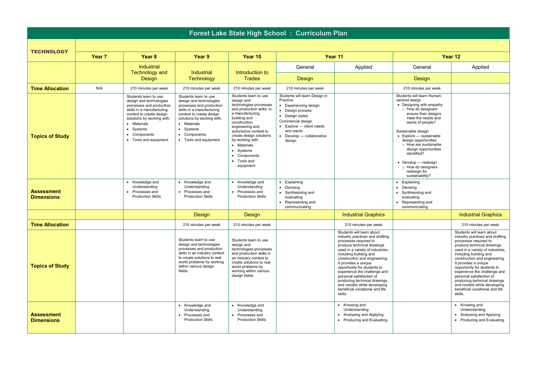|                                        | Forest Lake State High School: Curriculum Plan |                                                                                                                                                                                                                                          |                                                                                                                                                                                                                                          |                                                                                                                                                                                                                                                                                                                    |                                                                                                                                                                                                                    |                                                                                                                                                                                                                                                                                                                                                                                                                                                   |                                                                                                                                                                                                                                                                                                                                                                                            |                                                                                                                                                                                                                                                                                                                                                                                                                                                   |  |  |  |  |
|----------------------------------------|------------------------------------------------|------------------------------------------------------------------------------------------------------------------------------------------------------------------------------------------------------------------------------------------|------------------------------------------------------------------------------------------------------------------------------------------------------------------------------------------------------------------------------------------|--------------------------------------------------------------------------------------------------------------------------------------------------------------------------------------------------------------------------------------------------------------------------------------------------------------------|--------------------------------------------------------------------------------------------------------------------------------------------------------------------------------------------------------------------|---------------------------------------------------------------------------------------------------------------------------------------------------------------------------------------------------------------------------------------------------------------------------------------------------------------------------------------------------------------------------------------------------------------------------------------------------|--------------------------------------------------------------------------------------------------------------------------------------------------------------------------------------------------------------------------------------------------------------------------------------------------------------------------------------------------------------------------------------------|---------------------------------------------------------------------------------------------------------------------------------------------------------------------------------------------------------------------------------------------------------------------------------------------------------------------------------------------------------------------------------------------------------------------------------------------------|--|--|--|--|
|                                        |                                                |                                                                                                                                                                                                                                          |                                                                                                                                                                                                                                          |                                                                                                                                                                                                                                                                                                                    |                                                                                                                                                                                                                    |                                                                                                                                                                                                                                                                                                                                                                                                                                                   |                                                                                                                                                                                                                                                                                                                                                                                            |                                                                                                                                                                                                                                                                                                                                                                                                                                                   |  |  |  |  |
| <b>TECHNOLOGY</b>                      | Year 7                                         | Year <sub>8</sub>                                                                                                                                                                                                                        | Year 9                                                                                                                                                                                                                                   | Year 10                                                                                                                                                                                                                                                                                                            |                                                                                                                                                                                                                    | Year 11                                                                                                                                                                                                                                                                                                                                                                                                                                           | Year 12                                                                                                                                                                                                                                                                                                                                                                                    |                                                                                                                                                                                                                                                                                                                                                                                                                                                   |  |  |  |  |
|                                        |                                                | Industrial<br><b>Technology and</b>                                                                                                                                                                                                      | Industrial                                                                                                                                                                                                                               | Introduction to                                                                                                                                                                                                                                                                                                    | General                                                                                                                                                                                                            | Applied                                                                                                                                                                                                                                                                                                                                                                                                                                           | General                                                                                                                                                                                                                                                                                                                                                                                    | Applied                                                                                                                                                                                                                                                                                                                                                                                                                                           |  |  |  |  |
|                                        |                                                | Design                                                                                                                                                                                                                                   | Technology                                                                                                                                                                                                                               | <b>Trades</b>                                                                                                                                                                                                                                                                                                      | Design                                                                                                                                                                                                             |                                                                                                                                                                                                                                                                                                                                                                                                                                                   | Design                                                                                                                                                                                                                                                                                                                                                                                     |                                                                                                                                                                                                                                                                                                                                                                                                                                                   |  |  |  |  |
| <b>Time Allocation</b>                 | N/A                                            | 210 minutes per week                                                                                                                                                                                                                     | 210 minutes per week                                                                                                                                                                                                                     | 210 minutes per week                                                                                                                                                                                                                                                                                               | 210 minutes per week                                                                                                                                                                                               |                                                                                                                                                                                                                                                                                                                                                                                                                                                   | 210 minutes per week                                                                                                                                                                                                                                                                                                                                                                       |                                                                                                                                                                                                                                                                                                                                                                                                                                                   |  |  |  |  |
| <b>Topics of Study</b>                 |                                                | Students learn to use<br>design and technologies<br>processes and production<br>skills in a manufacturing<br>context to create design<br>solutions by working with:<br>• Materials<br>• Systems<br>• Components<br>• Tools and equipment | Students learn to use<br>design and technologies<br>processes and production<br>skills in a manufacturing<br>context to create design<br>solutions by working with:<br>• Materials<br>• Systems<br>• Components<br>• Tools and equipment | Students learn to use<br>design and<br>technologies processes<br>and production skills, in<br>a manufacturing,<br>building and<br>construction.<br>engineering and<br>automotive context to<br>create design solutions<br>by working with:<br>• Materials<br>• Systems<br>• Components<br>• Tools and<br>equipment | Students will learn Design in<br>Practice<br>• Experiencing design<br>Design process<br>• Design styles<br>Commercial design<br>$\bullet$ Explore - client needs<br>and wants<br>Develop - collaborative<br>design |                                                                                                                                                                                                                                                                                                                                                                                                                                                   | Students will learn Human-<br>centred design<br>• Designing with empathy<br>o How do designers<br>ensure their designs<br>meet the needs and<br>wants of people?<br>Sustainable design<br>• Explore - sustainable<br>design opportunities<br>o How are sustainable<br>design opportunities<br>identified?<br>• Develop - redesign<br>o How do designers<br>redesign for<br>sustainability? |                                                                                                                                                                                                                                                                                                                                                                                                                                                   |  |  |  |  |
| <b>Assessment</b><br><b>Dimensions</b> |                                                | Knowledge and<br>Understanding<br>• Processes and<br><b>Production Skills</b>                                                                                                                                                            | Knowledge and<br>Understanding<br>• Processes and<br><b>Production Skills</b>                                                                                                                                                            | • Knowledge and<br>Understanding<br>• Processes and<br><b>Production Skills</b>                                                                                                                                                                                                                                    | • Explaining<br>• Devising<br>Synthesising and<br>$\bullet$<br>evaluating<br>Representing and<br>communicating                                                                                                     |                                                                                                                                                                                                                                                                                                                                                                                                                                                   | • Explaining<br>• Devising<br>• Synthesising and<br>evaluating<br>• Representing and<br>communicating                                                                                                                                                                                                                                                                                      |                                                                                                                                                                                                                                                                                                                                                                                                                                                   |  |  |  |  |
|                                        |                                                |                                                                                                                                                                                                                                          | Design                                                                                                                                                                                                                                   | Design                                                                                                                                                                                                                                                                                                             |                                                                                                                                                                                                                    | <b>Industrial Graphics</b>                                                                                                                                                                                                                                                                                                                                                                                                                        |                                                                                                                                                                                                                                                                                                                                                                                            | <b>Industrial Graphics</b>                                                                                                                                                                                                                                                                                                                                                                                                                        |  |  |  |  |
| <b>Time Allocation</b>                 |                                                |                                                                                                                                                                                                                                          | 210 minutes per week                                                                                                                                                                                                                     | 210 minutes per week                                                                                                                                                                                                                                                                                               |                                                                                                                                                                                                                    | 210 minutes per week                                                                                                                                                                                                                                                                                                                                                                                                                              |                                                                                                                                                                                                                                                                                                                                                                                            | 210 minutes per week                                                                                                                                                                                                                                                                                                                                                                                                                              |  |  |  |  |
| <b>Topics of Study</b>                 |                                                |                                                                                                                                                                                                                                          | Students learn to use<br>design and technologies<br>processes and production<br>skills in an industry context<br>to create solutions to real<br>world problems by working<br>within various design<br>fields.                            | Students learn to use<br>design and<br>technologies processes<br>and production skills in<br>an industry context to<br>create solutions to real<br>world problems by<br>working within various<br>design fields.                                                                                                   |                                                                                                                                                                                                                    | Students will learn about<br>industry practices and drafting<br>processes required to<br>produce technical drawings<br>used in a variety of industries,<br>including building and<br>construction and engineering.<br>It provides a unique<br>opportunity for students to<br>experience the challenge and<br>personal satisfaction of<br>producing technical drawings<br>and models while developing<br>beneficial vocational and life<br>skills. |                                                                                                                                                                                                                                                                                                                                                                                            | Students will learn about<br>industry practices and drafting<br>processes required to<br>produce technical drawings<br>used in a variety of industries,<br>including building and<br>construction and engineering.<br>It provides a unique<br>opportunity for students to<br>experience the challenge and<br>personal satisfaction of<br>producing technical drawings<br>and models while developing<br>beneficial vocational and life<br>skills. |  |  |  |  |
| <b>Assessment</b><br><b>Dimensions</b> |                                                |                                                                                                                                                                                                                                          | • Knowledge and<br>Understanding<br>Processes and<br><b>Production Skills</b>                                                                                                                                                            | • Knowledge and<br>Understanding<br>• Processes and<br><b>Production Skills</b>                                                                                                                                                                                                                                    |                                                                                                                                                                                                                    | • Knowing and<br>Understanding<br>• Analysing and Applying<br>• Producing and Evaluating                                                                                                                                                                                                                                                                                                                                                          |                                                                                                                                                                                                                                                                                                                                                                                            | • Knowing and<br>Understanding<br>• Analysing and Applying<br>• Producing and Evaluating                                                                                                                                                                                                                                                                                                                                                          |  |  |  |  |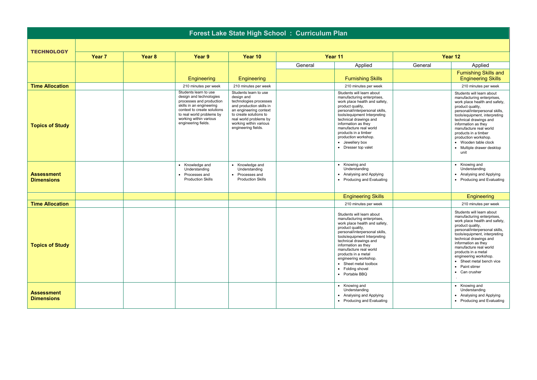| Forest Lake State High School: Curriculum Plan |                   |        |                                                                                                                                                                                                                       |                                                                                                                                                                                                                          |         |                                                                                                                                                                                                                                                                                                                                                                          |         |                                                                                                                                                                                                                                                                                                                                                                            |  |  |  |
|------------------------------------------------|-------------------|--------|-----------------------------------------------------------------------------------------------------------------------------------------------------------------------------------------------------------------------|--------------------------------------------------------------------------------------------------------------------------------------------------------------------------------------------------------------------------|---------|--------------------------------------------------------------------------------------------------------------------------------------------------------------------------------------------------------------------------------------------------------------------------------------------------------------------------------------------------------------------------|---------|----------------------------------------------------------------------------------------------------------------------------------------------------------------------------------------------------------------------------------------------------------------------------------------------------------------------------------------------------------------------------|--|--|--|
|                                                |                   |        |                                                                                                                                                                                                                       |                                                                                                                                                                                                                          |         |                                                                                                                                                                                                                                                                                                                                                                          |         |                                                                                                                                                                                                                                                                                                                                                                            |  |  |  |
| <b>TECHNOLOGY</b>                              | Year <sub>7</sub> | Year 8 | Year 9                                                                                                                                                                                                                | Year 10                                                                                                                                                                                                                  |         | Year 11                                                                                                                                                                                                                                                                                                                                                                  |         | Year 12                                                                                                                                                                                                                                                                                                                                                                    |  |  |  |
|                                                |                   |        |                                                                                                                                                                                                                       |                                                                                                                                                                                                                          | General | Applied                                                                                                                                                                                                                                                                                                                                                                  | General | Applied                                                                                                                                                                                                                                                                                                                                                                    |  |  |  |
|                                                |                   |        | Engineering                                                                                                                                                                                                           | Engineering                                                                                                                                                                                                              |         | <b>Furnishing Skills</b>                                                                                                                                                                                                                                                                                                                                                 |         | <b>Furnishing Skills and</b><br><b>Engineering Skills</b>                                                                                                                                                                                                                                                                                                                  |  |  |  |
| <b>Time Allocation</b>                         |                   |        | 210 minutes per week                                                                                                                                                                                                  | 210 minutes per week                                                                                                                                                                                                     |         | 210 minutes per week                                                                                                                                                                                                                                                                                                                                                     |         | 210 minutes per week                                                                                                                                                                                                                                                                                                                                                       |  |  |  |
| <b>Topics of Study</b>                         |                   |        | Students learn to use<br>design and technologies<br>processes and production<br>skills in an engineering<br>context to create solutions<br>to real world problems by<br>working within various<br>engineering fields. | Students learn to use<br>design and<br>technologies processes<br>and production skills in<br>an engineering context<br>to create solutions to<br>real world problems by<br>working within various<br>engineering fields. |         | Students will learn about<br>manufacturing enterprises,<br>work place health and safety,<br>product quality,<br>personal/interpersonal skills,<br>tools/equipment Interpreting<br>technical drawings and<br>information as they<br>manufacture real world<br>products in a timber<br>production workshop.<br>• Jewellery box<br>• Dresser top valet                      |         | Students will learn about<br>manufacturing enterprises,<br>work place health and safety,<br>product quality,<br>personal/interpersonal skills,<br>tools/equipment, interpreting<br>technical drawings and<br>information as they<br>manufacture real world<br>products in a timber<br>production workshop.<br>• Wooden table clock<br>• Multiple drawer desktop<br>unit    |  |  |  |
| <b>Assessment</b><br><b>Dimensions</b>         |                   |        | • Knowledge and<br>Understanding<br>• Processes and<br><b>Production Skills</b>                                                                                                                                       | • Knowledge and<br>Understanding<br>• Processes and<br><b>Production Skills</b>                                                                                                                                          |         | • Knowing and<br>Understanding<br>• Analysing and Applying<br>• Producing and Evaluating                                                                                                                                                                                                                                                                                 |         | • Knowing and<br>Understanding<br>• Analysing and Applying<br>• Producing and Evaluating                                                                                                                                                                                                                                                                                   |  |  |  |
|                                                |                   |        |                                                                                                                                                                                                                       |                                                                                                                                                                                                                          |         | <b>Engineering Skills</b>                                                                                                                                                                                                                                                                                                                                                |         | Engineering                                                                                                                                                                                                                                                                                                                                                                |  |  |  |
| <b>Time Allocation</b>                         |                   |        |                                                                                                                                                                                                                       |                                                                                                                                                                                                                          |         | 210 minutes per week                                                                                                                                                                                                                                                                                                                                                     |         | 210 minutes per week                                                                                                                                                                                                                                                                                                                                                       |  |  |  |
| <b>Topics of Study</b>                         |                   |        |                                                                                                                                                                                                                       |                                                                                                                                                                                                                          |         | Students will learn about<br>manufacturing enterprises,<br>work place health and safety,<br>product quality,<br>personal/interpersonal skills,<br>tools/equipment Interpreting<br>technical drawings and<br>information as they<br>manufacture real world<br>products in a metal<br>engineering workshop.<br>• Sheet metal toolbox<br>• Folding shovel<br>• Portable BBQ |         | Students will learn about<br>manufacturing enterprises,<br>work place health and safety,<br>product quality.<br>personal/interpersonal skills,<br>tools/equipment, interpreting<br>technical drawings and<br>information as they<br>manufacture real world<br>products in a metal<br>engineering workshop.<br>• Sheet metal bench vice<br>• Paint stirrer<br>• Can crusher |  |  |  |
| <b>Assessment</b><br><b>Dimensions</b>         |                   |        |                                                                                                                                                                                                                       |                                                                                                                                                                                                                          |         | • Knowing and<br>Understanding<br>• Analysing and Applying<br>• Producing and Evaluating                                                                                                                                                                                                                                                                                 |         | • Knowing and<br>Understanding<br>• Analysing and Applying<br>• Producing and Evaluating                                                                                                                                                                                                                                                                                   |  |  |  |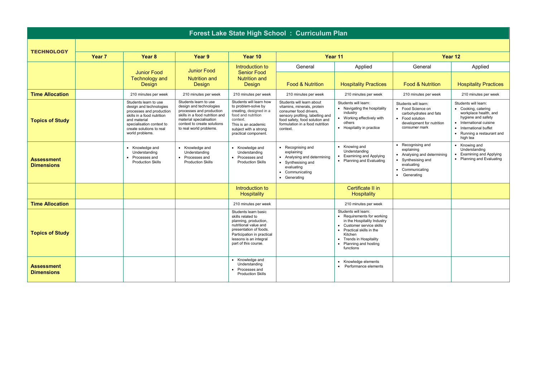| Forest Lake State High School: Curriculum Plan |                   |                                                                                                                                                                                                        |                                                                                                                                                                                                     |                                                                                                                                                                                                       |                                                                                                                                                                                                         |                                                                                                                                                                                                                        |                                                                                                                                                           |                                                                                                                                                                                         |  |  |  |
|------------------------------------------------|-------------------|--------------------------------------------------------------------------------------------------------------------------------------------------------------------------------------------------------|-----------------------------------------------------------------------------------------------------------------------------------------------------------------------------------------------------|-------------------------------------------------------------------------------------------------------------------------------------------------------------------------------------------------------|---------------------------------------------------------------------------------------------------------------------------------------------------------------------------------------------------------|------------------------------------------------------------------------------------------------------------------------------------------------------------------------------------------------------------------------|-----------------------------------------------------------------------------------------------------------------------------------------------------------|-----------------------------------------------------------------------------------------------------------------------------------------------------------------------------------------|--|--|--|
|                                                |                   |                                                                                                                                                                                                        |                                                                                                                                                                                                     |                                                                                                                                                                                                       |                                                                                                                                                                                                         |                                                                                                                                                                                                                        |                                                                                                                                                           |                                                                                                                                                                                         |  |  |  |
| <b>TECHNOLOGY</b>                              | Year <sub>7</sub> | Year <sub>8</sub>                                                                                                                                                                                      | Year 9                                                                                                                                                                                              | Year 10                                                                                                                                                                                               | Year 11                                                                                                                                                                                                 |                                                                                                                                                                                                                        | Year 12                                                                                                                                                   |                                                                                                                                                                                         |  |  |  |
|                                                |                   | <b>Junior Food</b>                                                                                                                                                                                     | <b>Junior Food</b>                                                                                                                                                                                  | Introduction to<br><b>Senior Food</b><br><b>Nutrition and</b><br><b>Design</b>                                                                                                                        | General                                                                                                                                                                                                 | Applied                                                                                                                                                                                                                | General                                                                                                                                                   | Applied                                                                                                                                                                                 |  |  |  |
|                                                |                   | <b>Technology and</b><br><b>Design</b>                                                                                                                                                                 | <b>Nutrition and</b><br>Design                                                                                                                                                                      |                                                                                                                                                                                                       | <b>Food &amp; Nutrition</b>                                                                                                                                                                             | <b>Hospitality Practices</b>                                                                                                                                                                                           | <b>Food &amp; Nutrition</b>                                                                                                                               | <b>Hospitality Practices</b>                                                                                                                                                            |  |  |  |
| <b>Time Allocation</b>                         |                   | 210 minutes per week                                                                                                                                                                                   | 210 minutes per week                                                                                                                                                                                | 210 minutes per week                                                                                                                                                                                  | 210 minutes per week                                                                                                                                                                                    | 210 minutes per week                                                                                                                                                                                                   | 210 minutes per week                                                                                                                                      | 210 minutes per week                                                                                                                                                                    |  |  |  |
| <b>Topics of Study</b>                         |                   | Students learn to use<br>design and technologies<br>processes and production<br>skills in a food nutrition<br>and material<br>specialisation context to<br>create solutions to real<br>world problems. | Students learn to use<br>design and technologies<br>processes and production<br>skills in a food nutrition and<br>material specialisation<br>context to create solutions<br>to real world problems. | Students will learn how<br>to problem-solve by<br>creating, designed in a<br>food and nutrition<br>context.<br>This is an academic<br>subject with a strong<br>practical component.                   | Students will learn about<br>vitamins, minerals, protein<br>consumer food drivers.<br>sensory profiling, labelling and<br>food safety, food solution and<br>formulation in a food nutrition<br>context. | Students will learn:<br>• Navigating the hospitality<br>industry<br>• Working effectively with<br>others<br>• Hospitality in practice                                                                                  | Students will learn:<br>• Food Science on<br>carbohydrates and fats<br>• Food solution<br>development for nutrition<br>consumer mark                      | Students will learn:<br>• Cooking, catering<br>workplace health, and<br>hygiene and safety<br>• International cuisine<br>International buffet<br>• Running a restaurant and<br>high tea |  |  |  |
| <b>Assessment</b><br><b>Dimensions</b>         |                   | • Knowledge and<br>Understanding<br>• Processes and<br><b>Production Skills</b>                                                                                                                        | • Knowledge and<br>Understanding<br>• Processes and<br><b>Production Skills</b>                                                                                                                     | • Knowledge and<br>Understanding<br>• Processes and<br><b>Production Skills</b>                                                                                                                       | • Recognising and<br>explaining<br>• Analysing and determining<br>• Synthesising and<br>evaluating<br>• Communicating<br>• Generating                                                                   | • Knowing and<br>Understanding<br><b>Examining and Applying</b><br>• Planning and Evaluating                                                                                                                           | Recognising and<br>explaining<br>• Analysing and determining<br>• Synthesising and<br>evaluating<br>Communicating<br>$\bullet$<br>$\bullet$<br>Generating | • Knowing and<br>Understanding<br><b>Examining and Applying</b><br>Planning and Evaluating                                                                                              |  |  |  |
|                                                |                   |                                                                                                                                                                                                        |                                                                                                                                                                                                     | Introduction to<br>Hospitality                                                                                                                                                                        |                                                                                                                                                                                                         | Certificate II in<br>Hospitality                                                                                                                                                                                       |                                                                                                                                                           |                                                                                                                                                                                         |  |  |  |
| <b>Time Allocation</b>                         |                   |                                                                                                                                                                                                        |                                                                                                                                                                                                     | 210 minutes per week                                                                                                                                                                                  |                                                                                                                                                                                                         | 210 minutes per week                                                                                                                                                                                                   |                                                                                                                                                           |                                                                                                                                                                                         |  |  |  |
| <b>Topics of Study</b>                         |                   |                                                                                                                                                                                                        |                                                                                                                                                                                                     | Students learn basic<br>skills related to<br>planning, production,<br>nutritional value and<br>presentation of foods.<br>Participation in practical<br>lessons is an integral<br>part of this course. |                                                                                                                                                                                                         | Students will learn:<br>• Requirements for working<br>in the Hospitality Industry<br>• Customer service skills<br>• Practical skills in the<br>Kitchen<br>• Trends in Hospitality<br>Planning and hosting<br>functions |                                                                                                                                                           |                                                                                                                                                                                         |  |  |  |
| <b>Assessment</b><br><b>Dimensions</b>         |                   |                                                                                                                                                                                                        |                                                                                                                                                                                                     | • Knowledge and<br>Understanding<br>• Processes and<br><b>Production Skills</b>                                                                                                                       |                                                                                                                                                                                                         | • Knowledge elements<br>• Performance elements                                                                                                                                                                         |                                                                                                                                                           |                                                                                                                                                                                         |  |  |  |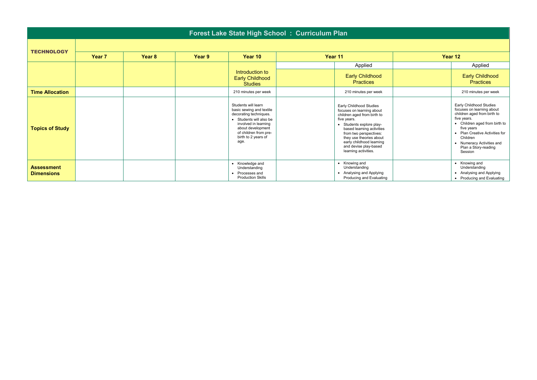| Forest Lake State High School: Curriculum Plan |        |        |        |                                                                                                                                                                                                           |  |                                                                                                                                                                                                                                                                                               |  |                                                                                                                                                                                                                                                                 |  |  |
|------------------------------------------------|--------|--------|--------|-----------------------------------------------------------------------------------------------------------------------------------------------------------------------------------------------------------|--|-----------------------------------------------------------------------------------------------------------------------------------------------------------------------------------------------------------------------------------------------------------------------------------------------|--|-----------------------------------------------------------------------------------------------------------------------------------------------------------------------------------------------------------------------------------------------------------------|--|--|
| <b>TECHNOLOGY</b>                              |        |        |        |                                                                                                                                                                                                           |  |                                                                                                                                                                                                                                                                                               |  |                                                                                                                                                                                                                                                                 |  |  |
|                                                | Year 7 | Year 8 | Year 9 | Year 10                                                                                                                                                                                                   |  | Year 11                                                                                                                                                                                                                                                                                       |  | Year 12                                                                                                                                                                                                                                                         |  |  |
|                                                |        |        |        |                                                                                                                                                                                                           |  | Applied                                                                                                                                                                                                                                                                                       |  | Applied                                                                                                                                                                                                                                                         |  |  |
|                                                |        |        |        | Introduction to<br><b>Early Childhood</b><br><b>Studies</b>                                                                                                                                               |  | <b>Early Childhood</b><br><b>Practices</b>                                                                                                                                                                                                                                                    |  | <b>Early Childhood</b><br><b>Practices</b>                                                                                                                                                                                                                      |  |  |
| <b>Time Allocation</b>                         |        |        |        | 210 minutes per week                                                                                                                                                                                      |  | 210 minutes per week                                                                                                                                                                                                                                                                          |  | 210 minutes per week                                                                                                                                                                                                                                            |  |  |
| <b>Topics of Study</b>                         |        |        |        | Students will learn<br>basic sewing and textile<br>decorating techniques.<br>• Students will also be<br>involved in learning<br>about development<br>of children from pre-<br>birth to 2 years of<br>age. |  | Early Childhood Studies<br>focuses on learning about<br>children aged from birth to<br>five years.<br>• Students explore play-<br>based learning activities<br>from two perspectives:<br>they use theories about<br>early childhood learning<br>and devise play-based<br>learning activities. |  | Early Childhood Studies<br>focuses on learning about<br>children aged from birth to<br>five years.<br>• Children aged from birth to<br>five years<br>• Plan Creative Activities for<br>Children<br>• Numeracy Activities and<br>Plan a Story-reading<br>Session |  |  |
| <b>Assessment</b><br><b>Dimensions</b>         |        |        |        | • Knowledge and<br>Understanding<br>Processes and<br><b>Production Skills</b>                                                                                                                             |  | • Knowing and<br>Understanding<br>• Analysing and Applying<br>Producing and Evaluating                                                                                                                                                                                                        |  | • Knowing and<br>Understanding<br>• Analysing and Applying<br>• Producing and Evaluating                                                                                                                                                                        |  |  |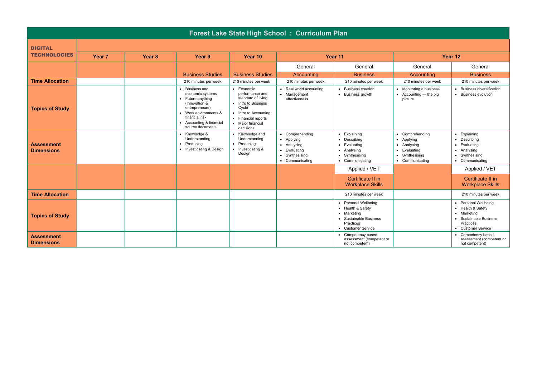| Forest Lake State High School: Curriculum Plan |                   |                   |                                                                                                                                                                                     |                                                                                                                                                                               |                                                                                                                         |                                                                                                                       |                                                                                             |                                                                                                                       |
|------------------------------------------------|-------------------|-------------------|-------------------------------------------------------------------------------------------------------------------------------------------------------------------------------------|-------------------------------------------------------------------------------------------------------------------------------------------------------------------------------|-------------------------------------------------------------------------------------------------------------------------|-----------------------------------------------------------------------------------------------------------------------|---------------------------------------------------------------------------------------------|-----------------------------------------------------------------------------------------------------------------------|
| <b>DIGITAL</b>                                 |                   |                   |                                                                                                                                                                                     |                                                                                                                                                                               |                                                                                                                         |                                                                                                                       |                                                                                             |                                                                                                                       |
| <b>TECHNOLOGIES</b>                            | Year <sub>7</sub> | Year <sub>8</sub> | Year 9                                                                                                                                                                              | Year 10                                                                                                                                                                       | Year 11                                                                                                                 |                                                                                                                       | Year 12                                                                                     |                                                                                                                       |
|                                                |                   |                   |                                                                                                                                                                                     |                                                                                                                                                                               | General                                                                                                                 | General                                                                                                               | General                                                                                     | General                                                                                                               |
|                                                |                   |                   | <b>Business Studies</b>                                                                                                                                                             | <b>Business Studies</b>                                                                                                                                                       | Accounting                                                                                                              | <b>Business</b>                                                                                                       | Accounting                                                                                  | <b>Business</b>                                                                                                       |
| <b>Time Allocation</b>                         |                   |                   | 210 minutes per week                                                                                                                                                                | 210 minutes per week                                                                                                                                                          | 210 minutes per week                                                                                                    | 210 minutes per week                                                                                                  | 210 minutes per week                                                                        | 210 minutes per week                                                                                                  |
| <b>Topics of Study</b>                         |                   |                   | Business and<br>economic systems<br>• Future anything<br>(Innovation &<br>entrepreneurs)<br>• Work environments &<br>financial risk<br>• Accounting & financial<br>source documents | $\bullet$ Economic<br>performance and<br>standard of living<br>• Intro to Business<br>Cycle<br>• Intro to Accounting<br>• Financial reports<br>• Major financial<br>decisions | • Real world accounting<br>• Management<br>effectiveness                                                                | • Business creation<br>• Business growth                                                                              | • Monitoring a business<br>$\bullet$ Accounting — the big<br>picture                        | <b>Business diversification</b><br>• Business evolution                                                               |
| <b>Assessment</b><br><b>Dimensions</b>         |                   |                   | • Knowledge &<br>Understanding<br>Producing<br>$\bullet$<br>• Investigating & Design                                                                                                | • Knowledge and<br>Understanding<br>• Producing<br>• Investigating &<br>Design                                                                                                | Comprehending<br>$\bullet$<br>• Applying<br>• Analysing<br>Evaluating<br>$\bullet$<br>• Synthesising<br>• Communicating | • Explaining<br>• Describing<br>• Evaluating<br>• Analysing<br>• Synthesising<br>• Communicating                      | Comprehending<br>• Applying<br>• Analysing<br>Evaluating<br>Synthesising<br>• Communicating | Explaining<br>$\bullet$<br>• Describing<br>• Evaluating<br>• Analysing<br>• Synthesising<br>• Communicating           |
|                                                |                   |                   |                                                                                                                                                                                     |                                                                                                                                                                               |                                                                                                                         | Applied / VET<br>Certificate II in<br><b>Workplace Skills</b>                                                         |                                                                                             | Applied / VET<br>Certificate II in<br><b>Workplace Skills</b>                                                         |
| <b>Time Allocation</b>                         |                   |                   |                                                                                                                                                                                     |                                                                                                                                                                               |                                                                                                                         | 210 minutes per week                                                                                                  |                                                                                             | 210 minutes per week                                                                                                  |
| <b>Topics of Study</b>                         |                   |                   |                                                                                                                                                                                     |                                                                                                                                                                               |                                                                                                                         | • Personal Wellbeing<br>• Health & Safety<br>• Marketing<br>• Sustainable Business<br>Practices<br>• Customer Service |                                                                                             | • Personal Wellbeing<br>• Health & Safety<br>• Marketing<br>• Sustainable Business<br>Practices<br>• Customer Service |
| <b>Assessment</b><br><b>Dimensions</b>         |                   |                   |                                                                                                                                                                                     |                                                                                                                                                                               |                                                                                                                         | Competency based<br>assessment (competent or<br>not competent)                                                        |                                                                                             | Competency based<br>assessment (competent or<br>not competent)                                                        |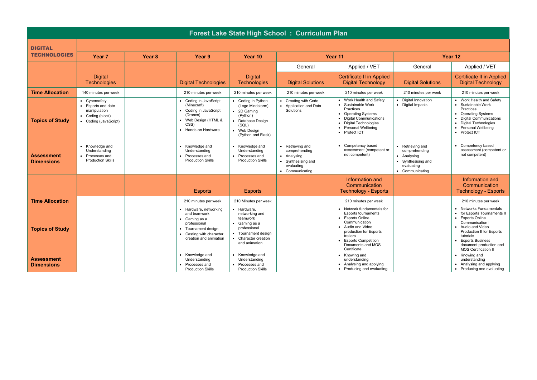| Forest Lake State High School: Curriculum Plan |                                                                                                  |                   |                                                                                                                                                              |                                                                                                                                      |                                                                                                         |                                                                                                                                                                                                                       |                                                                                                         |                                                                                                                                                                                                                                                       |  |
|------------------------------------------------|--------------------------------------------------------------------------------------------------|-------------------|--------------------------------------------------------------------------------------------------------------------------------------------------------------|--------------------------------------------------------------------------------------------------------------------------------------|---------------------------------------------------------------------------------------------------------|-----------------------------------------------------------------------------------------------------------------------------------------------------------------------------------------------------------------------|---------------------------------------------------------------------------------------------------------|-------------------------------------------------------------------------------------------------------------------------------------------------------------------------------------------------------------------------------------------------------|--|
| <b>DIGITAL</b>                                 |                                                                                                  |                   |                                                                                                                                                              |                                                                                                                                      |                                                                                                         |                                                                                                                                                                                                                       |                                                                                                         |                                                                                                                                                                                                                                                       |  |
| <b>TECHNOLOGIES</b>                            | Year <sub>7</sub>                                                                                | Year <sub>8</sub> | Year 9                                                                                                                                                       | Year 10                                                                                                                              | Year 11                                                                                                 |                                                                                                                                                                                                                       | Year 12                                                                                                 |                                                                                                                                                                                                                                                       |  |
|                                                |                                                                                                  |                   |                                                                                                                                                              |                                                                                                                                      | General                                                                                                 | Applied / VET                                                                                                                                                                                                         | General                                                                                                 | Applied / VET                                                                                                                                                                                                                                         |  |
|                                                | <b>Digital</b><br><b>Technologies</b>                                                            |                   | <b>Digital Technologies</b>                                                                                                                                  | <b>Digital</b><br><b>Technologies</b>                                                                                                | <b>Digital Solutions</b>                                                                                | <b>Certificate II in Applied</b><br><b>Digital Technology</b>                                                                                                                                                         | <b>Digital Solutions</b>                                                                                | <b>Certificate II in Applied</b><br><b>Digital Technology</b>                                                                                                                                                                                         |  |
| <b>Time Allocation</b>                         | 140 minutes per week                                                                             |                   | 210 minutes per week                                                                                                                                         | 210 minutes per week                                                                                                                 | 210 minutes per week                                                                                    | 210 minutes per week                                                                                                                                                                                                  | 210 minutes per week                                                                                    | 210 minutes per week                                                                                                                                                                                                                                  |  |
| <b>Topics of Study</b>                         | • Cybersafety<br>• Esports and date<br>manipulation<br>• Coding (block)<br>• Coding (JavaScript) |                   | • Coding in JavaScript<br>(Minecraft)<br>• Coding in JavaScript<br>(Drones)<br>• Web Design (HTML &<br>CSS)<br>• Hands-on Hardware                           | • Coding in Python<br>(Lego Mindstorm)<br>2D Gaming<br>(Python)<br>Database Design<br>(SQL)<br>Web Desian<br>(Python and Flask)      | • Creating with Code<br>• Application and Data<br>Solutions                                             | • Work Health and Safety<br>• Sustainable Work<br>Practices<br>• Operating Systems<br>• Digital Communications<br>• Digital Technologies<br>• Personal Wellbeing<br>• Protect ICT                                     | • Digital Innovation<br>• Digital Impacts                                                               | • Work Health and Safety<br>• Sustainable Work<br>Practices<br>• Operating Systems<br>• Digital Communications<br>• Digital Technologies<br>• Personal Wellbeing<br>• Protect ICT                                                                     |  |
| <b>Assessment</b><br><b>Dimensions</b>         | • Knowledge and<br>Understanding<br>• Processes and<br><b>Production Skills</b>                  |                   | • Knowledge and<br>Understanding<br>• Processes and<br><b>Production Skills</b>                                                                              | • Knowledge and<br>Understanding<br>Processes and<br><b>Production Skills</b>                                                        | • Retrieving and<br>comprehending<br>• Analysing<br>• Synthesising and<br>evaluating<br>• Communicating | • Competency based<br>assessment (competent or<br>not competent)                                                                                                                                                      | • Retrieving and<br>comprehending<br>• Analysing<br>• Synthesising and<br>evaluating<br>• Communicating | • Competency based<br>assessment (competent or<br>not competent)                                                                                                                                                                                      |  |
|                                                |                                                                                                  |                   | <b>Esports</b>                                                                                                                                               | <b>Esports</b>                                                                                                                       |                                                                                                         | Information and<br>Communication<br><b>Technology - Esports</b>                                                                                                                                                       |                                                                                                         | Information and<br>Communication<br><b>Technology - Esports</b>                                                                                                                                                                                       |  |
| <b>Time Allocation</b>                         |                                                                                                  |                   | 210 minutes per week                                                                                                                                         | 210 Minutes per week                                                                                                                 |                                                                                                         | 210 minutes per week                                                                                                                                                                                                  |                                                                                                         | 210 minutes per week                                                                                                                                                                                                                                  |  |
| <b>Topics of Study</b>                         |                                                                                                  |                   | • Hardware, networking<br>and teamwork<br>$\bullet$ Gaming as a<br>professional<br>• Tournament design<br>• Casting with character<br>creation and animation | • Hardware.<br>networking and<br>teamwork<br>Gaming as a<br>professional<br>Tournament design<br>Character creation<br>and animation |                                                                                                         | • Network fundamentals for<br><b>Esports tournaments</b><br>• Esports Online<br>Communication<br>• Audio and Video<br>production for Esports<br>trailers<br>• Esports Competition<br>Documents and MOS<br>Certificate |                                                                                                         | • Networks Fundamentals<br>• for Esports Tournaments II<br>• Esports Online<br>Communication II<br>• Audio and Video<br><b>Production II for Esports</b><br>tutorials<br>• Esports Business<br>document production and<br><b>MOS Certification II</b> |  |
| <b>Assessment</b><br><b>Dimensions</b>         |                                                                                                  |                   | • Knowledge and<br>Understanding<br>• Processes and<br><b>Production Skills</b>                                                                              | Knowledge and<br>Understanding<br>Processes and<br><b>Production Skills</b>                                                          |                                                                                                         | • Knowing and<br>understanding<br>• Analysing and applying<br>• Producing and evaluating                                                                                                                              |                                                                                                         | • Knowing and<br>understanding<br>• Analysing and applying<br>• Producing and evaluating                                                                                                                                                              |  |